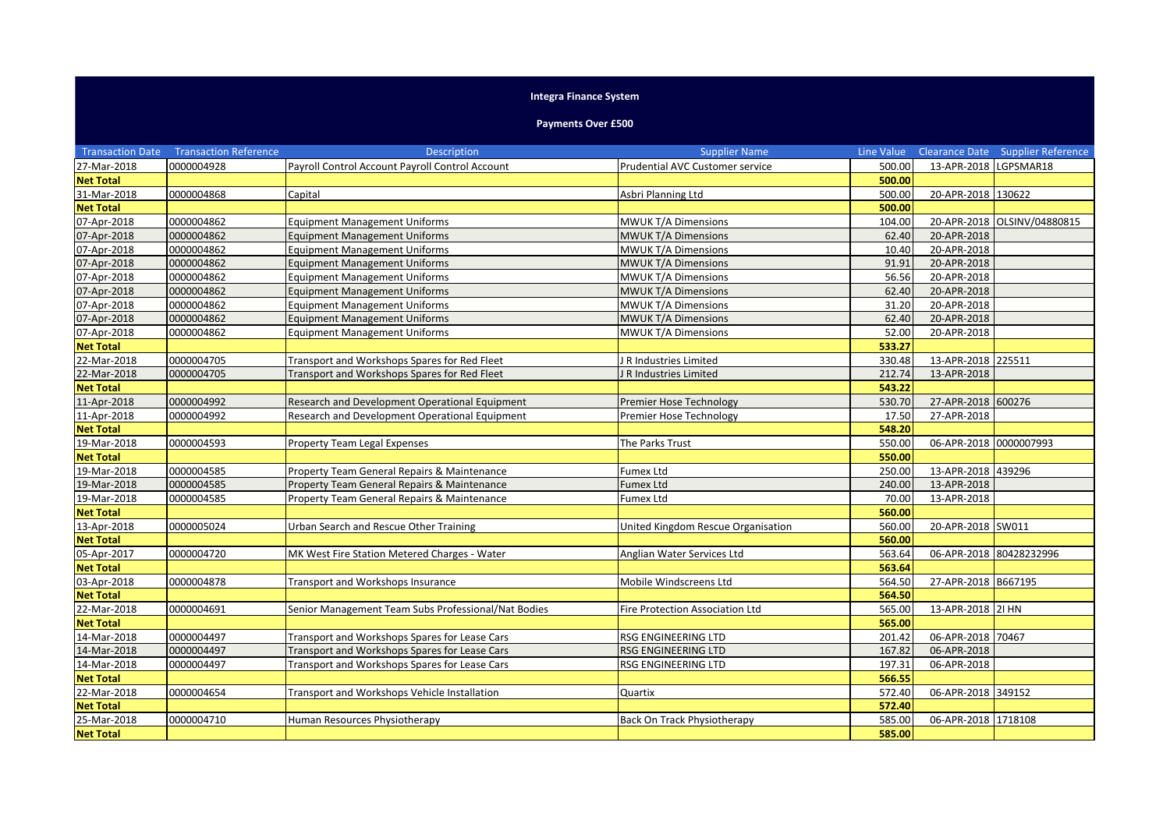## **Integra Finance System**

## **Payments Over £500**

|                  | <b>Transaction Date Transaction Reference</b> | <b>Description</b>                                  | <b>Supplier Name</b>               | Line Value |                        | Clearance Date Supplier Reference |
|------------------|-----------------------------------------------|-----------------------------------------------------|------------------------------------|------------|------------------------|-----------------------------------|
| 27-Mar-2018      | 0000004928                                    | Payroll Control Account Payroll Control Account     | Prudential AVC Customer service    | 500.00     | 13-APR-2018 LGPSMAR18  |                                   |
| <b>Net Total</b> |                                               |                                                     |                                    | 500.00     |                        |                                   |
| 31-Mar-2018      | 0000004868                                    | Capital                                             | Asbri Planning Ltd                 | 500.00     | 20-APR-2018 130622     |                                   |
| <b>Net Total</b> |                                               |                                                     |                                    | 500.00     |                        |                                   |
| 07-Apr-2018      | 0000004862                                    | <b>Equipment Management Uniforms</b>                | <b>MWUK T/A Dimensions</b>         | 104.00     | 20-APR-2018            | OLSINV/04880815                   |
| 07-Apr-2018      | 0000004862                                    | <b>Equipment Management Uniforms</b>                | MWUK T/A Dimensions                | 62.40      | 20-APR-2018            |                                   |
| 07-Apr-2018      | 0000004862                                    | <b>Equipment Management Uniforms</b>                | <b>MWUK T/A Dimensions</b>         | 10.40      | 20-APR-2018            |                                   |
| 07-Apr-2018      | 0000004862                                    | <b>Equipment Management Uniforms</b>                | <b>MWUK T/A Dimensions</b>         | 91.91      | 20-APR-2018            |                                   |
| 07-Apr-2018      | 0000004862                                    | <b>Equipment Management Uniforms</b>                | MWUK T/A Dimensions                | 56.56      | 20-APR-2018            |                                   |
| 07-Apr-2018      | 0000004862                                    | <b>Equipment Management Uniforms</b>                | MWUK T/A Dimensions                | 62.40      | 20-APR-2018            |                                   |
| 07-Apr-2018      | 0000004862                                    | <b>Equipment Management Uniforms</b>                | <b>MWUK T/A Dimensions</b>         | 31.20      | 20-APR-2018            |                                   |
| 07-Apr-2018      | 0000004862                                    | <b>Equipment Management Uniforms</b>                | MWUK T/A Dimensions                | 62.40      | 20-APR-2018            |                                   |
| 07-Apr-2018      | 0000004862                                    | <b>Equipment Management Uniforms</b>                | MWUK T/A Dimensions                | 52.00      | 20-APR-2018            |                                   |
| <b>Net Total</b> |                                               |                                                     |                                    | 533.27     |                        |                                   |
| 22-Mar-2018      | 0000004705                                    | Transport and Workshops Spares for Red Fleet        | R Industries Limited               | 330.48     | 13-APR-2018 225511     |                                   |
| 22-Mar-2018      | 0000004705                                    | Transport and Workshops Spares for Red Fleet        | R Industries Limited               | 212.74     | 13-APR-2018            |                                   |
| <b>Net Total</b> |                                               |                                                     |                                    | 543.22     |                        |                                   |
| 11-Apr-2018      | 0000004992                                    | Research and Development Operational Equipment      | Premier Hose Technology            | 530.70     | 27-APR-2018 600276     |                                   |
| 11-Apr-2018      | 0000004992                                    | Research and Development Operational Equipment      | Premier Hose Technology            | 17.50      | 27-APR-2018            |                                   |
| <b>Net Total</b> |                                               |                                                     |                                    | 548.20     |                        |                                   |
| 19-Mar-2018      | 0000004593                                    | <b>Property Team Legal Expenses</b>                 | The Parks Trust                    | 550.00     | 06-APR-2018 0000007993 |                                   |
| <b>Net Total</b> |                                               |                                                     |                                    | 550.00     |                        |                                   |
| 19-Mar-2018      | 0000004585                                    | Property Team General Repairs & Maintenance         | Fumex Ltd                          | 250.00     | 13-APR-2018 439296     |                                   |
| 19-Mar-2018      | 0000004585                                    | Property Team General Repairs & Maintenance         | <b>Fumex Ltd</b>                   | 240.00     | 13-APR-2018            |                                   |
| 19-Mar-2018      | 0000004585                                    | Property Team General Repairs & Maintenance         | <b>Fumex Ltd</b>                   | 70.00      | 13-APR-2018            |                                   |
| <b>Net Total</b> |                                               |                                                     |                                    | 560.00     |                        |                                   |
| 13-Apr-2018      | 0000005024                                    | Urban Search and Rescue Other Training              | United Kingdom Rescue Organisation | 560.00     | 20-APR-2018 SW011      |                                   |
| <b>Net Total</b> |                                               |                                                     |                                    | 560.00     |                        |                                   |
| 05-Apr-2017      | 0000004720                                    | MK West Fire Station Metered Charges - Water        | Anglian Water Services Ltd         | 563.64     |                        | 06-APR-2018 80428232996           |
| <b>Net Total</b> |                                               |                                                     |                                    | 563.64     |                        |                                   |
| 03-Apr-2018      | 0000004878                                    | Transport and Workshops Insurance                   | Mobile Windscreens Ltd             | 564.50     | 27-APR-2018 B667195    |                                   |
| <b>Net Total</b> |                                               |                                                     |                                    | 564.50     |                        |                                   |
| 22-Mar-2018      | 0000004691                                    | Senior Management Team Subs Professional/Nat Bodies | Fire Protection Association Ltd    | 565.00     | 13-APR-2018 21 HN      |                                   |
| <b>Net Total</b> |                                               |                                                     |                                    | 565.00     |                        |                                   |
| 14-Mar-2018      | 0000004497                                    | Transport and Workshops Spares for Lease Cars       | RSG ENGINEERING LTD                | 201.42     | 06-APR-2018 70467      |                                   |
| 14-Mar-2018      | 0000004497                                    | Transport and Workshops Spares for Lease Cars       | <b>RSG ENGINEERING LTD</b>         | 167.82     | 06-APR-2018            |                                   |
| 14-Mar-2018      | 0000004497                                    | Transport and Workshops Spares for Lease Cars       | RSG ENGINEERING LTD                | 197.31     | 06-APR-2018            |                                   |
| <b>Net Total</b> |                                               |                                                     |                                    | 566.55     |                        |                                   |
| 22-Mar-2018      | 0000004654                                    | Transport and Workshops Vehicle Installation        | Quartix                            | 572.40     | 06-APR-2018 349152     |                                   |
| <b>Net Total</b> |                                               |                                                     |                                    | 572.40     |                        |                                   |
| 25-Mar-2018      | 0000004710                                    | Human Resources Physiotherapy                       | Back On Track Physiotherapy        | 585.00     | 06-APR-2018 1718108    |                                   |
| <b>Net Total</b> |                                               |                                                     |                                    | 585.00     |                        |                                   |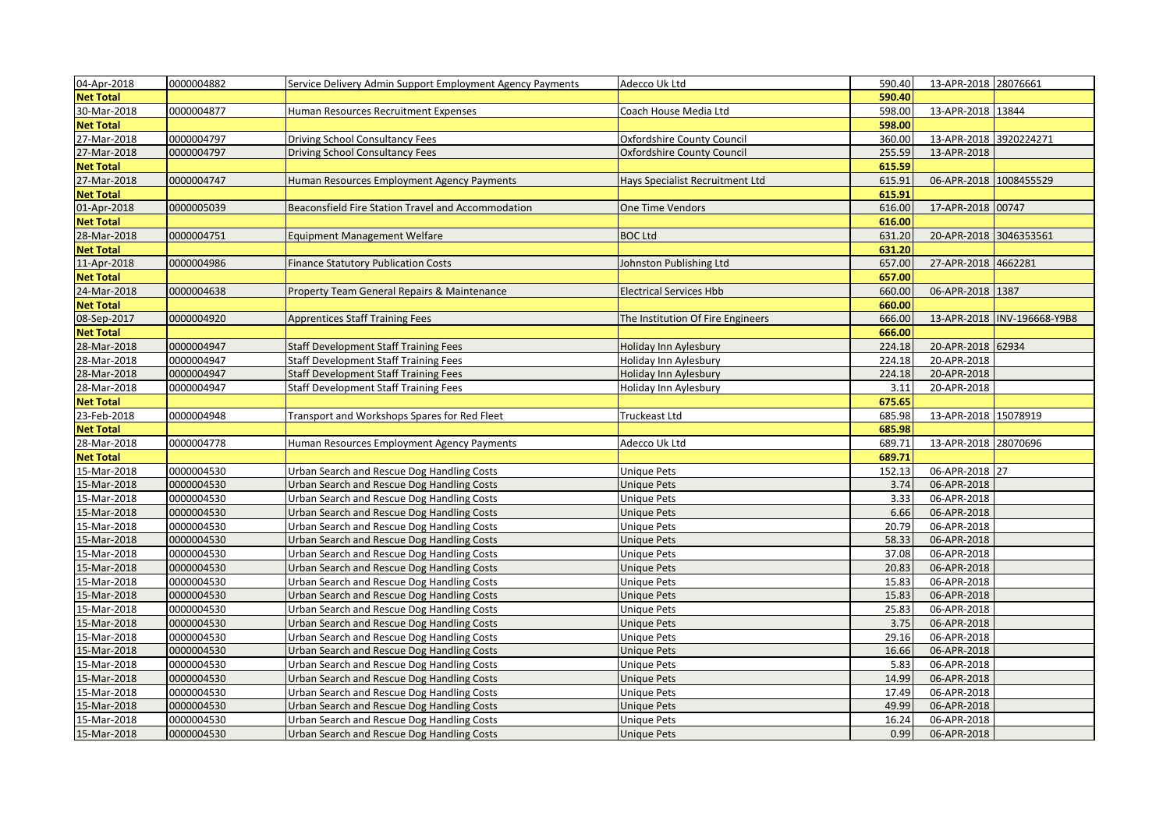| 04-Apr-2018      | 0000004882 | Service Delivery Admin Support Employment Agency Payments | Adecco Uk Ltd                     | 590.40 | 13-APR-2018 28076661   |                             |
|------------------|------------|-----------------------------------------------------------|-----------------------------------|--------|------------------------|-----------------------------|
| <b>Net Total</b> |            |                                                           |                                   | 590.40 |                        |                             |
| 30-Mar-2018      | 0000004877 | Human Resources Recruitment Expenses                      | Coach House Media Ltd             | 598.00 | 13-APR-2018 13844      |                             |
| <b>Net Total</b> |            |                                                           |                                   | 598.00 |                        |                             |
| 27-Mar-2018      | 0000004797 | Driving School Consultancy Fees                           | Oxfordshire County Council        | 360.00 | 13-APR-2018 3920224271 |                             |
| 27-Mar-2018      | 0000004797 | <b>Driving School Consultancy Fees</b>                    | Oxfordshire County Council        | 255.59 | 13-APR-2018            |                             |
| <b>Net Total</b> |            |                                                           |                                   | 615.59 |                        |                             |
| 27-Mar-2018      | 0000004747 | Human Resources Employment Agency Payments                | Hays Specialist Recruitment Ltd   | 615.91 | 06-APR-2018 1008455529 |                             |
| <b>Net Total</b> |            |                                                           |                                   | 615.91 |                        |                             |
| 01-Apr-2018      | 0000005039 | Beaconsfield Fire Station Travel and Accommodation        | <b>One Time Vendors</b>           | 616.00 | 17-APR-2018 00747      |                             |
| <b>Net Total</b> |            |                                                           |                                   | 616.00 |                        |                             |
| 28-Mar-2018      | 0000004751 | <b>Equipment Management Welfare</b>                       | <b>BOC Ltd</b>                    | 631.20 | 20-APR-2018 3046353561 |                             |
| <b>Net Total</b> |            |                                                           |                                   | 631.20 |                        |                             |
| 11-Apr-2018      | 0000004986 | <b>Finance Statutory Publication Costs</b>                | Iohnston Publishing Ltd           | 657.00 | 27-APR-2018 4662281    |                             |
| <b>Net Total</b> |            |                                                           |                                   | 657.00 |                        |                             |
| 24-Mar-2018      | 0000004638 | Property Team General Repairs & Maintenance               | <b>Electrical Services Hbb</b>    | 660.00 | 06-APR-2018 1387       |                             |
| <b>Net Total</b> |            |                                                           |                                   | 660.00 |                        |                             |
| 08-Sep-2017      | 0000004920 | <b>Apprentices Staff Training Fees</b>                    | The Institution Of Fire Engineers | 666.00 |                        | 13-APR-2018 INV-196668-Y9B8 |
| <b>Net Total</b> |            |                                                           |                                   | 666.00 |                        |                             |
| 28-Mar-2018      | 0000004947 | <b>Staff Development Staff Training Fees</b>              | Holiday Inn Aylesbury             | 224.18 | 20-APR-2018 62934      |                             |
| 28-Mar-2018      | 0000004947 | <b>Staff Development Staff Training Fees</b>              | Holiday Inn Aylesbury             | 224.18 | 20-APR-2018            |                             |
| 28-Mar-2018      | 0000004947 | <b>Staff Development Staff Training Fees</b>              | Holiday Inn Aylesbury             | 224.18 | 20-APR-2018            |                             |
| 28-Mar-2018      | 0000004947 | <b>Staff Development Staff Training Fees</b>              | Holiday Inn Aylesbury             | 3.11   | 20-APR-2018            |                             |
| <b>Net Total</b> |            |                                                           |                                   | 675.65 |                        |                             |
| 23-Feb-2018      | 0000004948 | Transport and Workshops Spares for Red Fleet              | Truckeast Ltd                     | 685.98 | 13-APR-2018 15078919   |                             |
| <b>Net Total</b> |            |                                                           |                                   | 685.98 |                        |                             |
| 28-Mar-2018      | 0000004778 | Human Resources Employment Agency Payments                | Adecco Uk Ltd                     | 689.71 | 13-APR-2018 28070696   |                             |
| <b>Net Total</b> |            |                                                           |                                   | 689.71 |                        |                             |
| 15-Mar-2018      | 0000004530 | Urban Search and Rescue Dog Handling Costs                | Unique Pets                       | 152.13 | 06-APR-2018 27         |                             |
| 15-Mar-2018      | 0000004530 | Urban Search and Rescue Dog Handling Costs                | Unique Pets                       | 3.74   | 06-APR-2018            |                             |
| 15-Mar-2018      | 0000004530 | Urban Search and Rescue Dog Handling Costs                | Unique Pets                       | 3.33   | 06-APR-2018            |                             |
| 15-Mar-2018      | 0000004530 | Urban Search and Rescue Dog Handling Costs                | Unique Pets                       | 6.66   | 06-APR-2018            |                             |
| 15-Mar-2018      | 0000004530 | Urban Search and Rescue Dog Handling Costs                | Unique Pets                       | 20.79  | 06-APR-2018            |                             |
| 15-Mar-2018      | 0000004530 | Urban Search and Rescue Dog Handling Costs                | <b>Unique Pets</b>                | 58.33  | 06-APR-2018            |                             |
| 15-Mar-2018      | 0000004530 | Urban Search and Rescue Dog Handling Costs                | Unique Pets                       | 37.08  | 06-APR-2018            |                             |
| 15-Mar-2018      | 0000004530 | Urban Search and Rescue Dog Handling Costs                | Unique Pets                       | 20.83  | 06-APR-2018            |                             |
| 15-Mar-2018      | 0000004530 | Urban Search and Rescue Dog Handling Costs                | Unique Pets                       | 15.83  | 06-APR-2018            |                             |
| 15-Mar-2018      | 0000004530 | Urban Search and Rescue Dog Handling Costs                | Unique Pets                       | 15.83  | 06-APR-2018            |                             |
| 15-Mar-2018      | 0000004530 | Urban Search and Rescue Dog Handling Costs                | Unique Pets                       | 25.83  | 06-APR-2018            |                             |
| 15-Mar-2018      | 0000004530 | Urban Search and Rescue Dog Handling Costs                | Unique Pets                       | 3.75   | 06-APR-2018            |                             |
| 15-Mar-2018      | 0000004530 | Urban Search and Rescue Dog Handling Costs                | Unique Pets                       | 29.16  | 06-APR-2018            |                             |
| 15-Mar-2018      | 0000004530 | Urban Search and Rescue Dog Handling Costs                | <b>Unique Pets</b>                | 16.66  | 06-APR-2018            |                             |
| 15-Mar-2018      | 0000004530 | Urban Search and Rescue Dog Handling Costs                | Unique Pets                       | 5.83   | 06-APR-2018            |                             |
| 15-Mar-2018      | 0000004530 | Urban Search and Rescue Dog Handling Costs                | Unique Pets                       | 14.99  | 06-APR-2018            |                             |
| 15-Mar-2018      | 0000004530 | Urban Search and Rescue Dog Handling Costs                | Unique Pets                       | 17.49  | 06-APR-2018            |                             |
|                  |            |                                                           |                                   |        |                        |                             |
| 15-Mar-2018      | 0000004530 | Urban Search and Rescue Dog Handling Costs                | <b>Unique Pets</b>                | 49.99  | 06-APR-2018            |                             |
| 15-Mar-2018      | 0000004530 | Urban Search and Rescue Dog Handling Costs                | Unique Pets                       | 16.24  | 06-APR-2018            |                             |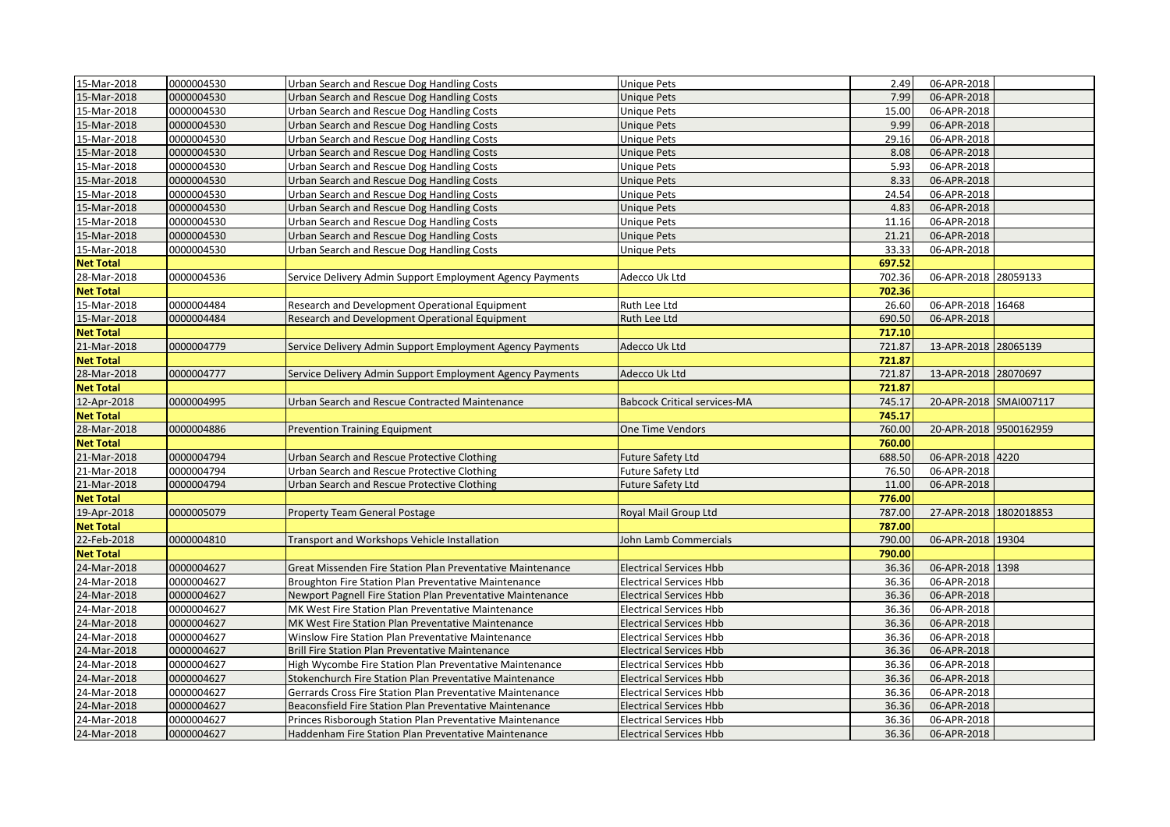| 15-Mar-2018      | 0000004530 | Urban Search and Rescue Dog Handling Costs                 | Unique Pets                         | 2.49   | 06-APR-2018            |  |
|------------------|------------|------------------------------------------------------------|-------------------------------------|--------|------------------------|--|
| 15-Mar-2018      | 0000004530 | Urban Search and Rescue Dog Handling Costs                 | <b>Unique Pets</b>                  | 7.99   | 06-APR-2018            |  |
| 15-Mar-2018      | 0000004530 | Urban Search and Rescue Dog Handling Costs                 | Unique Pets                         | 15.00  | 06-APR-2018            |  |
| 15-Mar-2018      | 0000004530 | Urban Search and Rescue Dog Handling Costs                 | <b>Unique Pets</b>                  | 9.99   | 06-APR-2018            |  |
| 15-Mar-2018      | 0000004530 | Urban Search and Rescue Dog Handling Costs                 | <b>Unique Pets</b>                  | 29.16  | 06-APR-2018            |  |
| 15-Mar-2018      | 0000004530 | Urban Search and Rescue Dog Handling Costs                 | <b>Unique Pets</b>                  | 8.08   | 06-APR-2018            |  |
| 15-Mar-2018      | 0000004530 | Urban Search and Rescue Dog Handling Costs                 | <b>Unique Pets</b>                  | 5.93   | 06-APR-2018            |  |
| 15-Mar-2018      | 0000004530 | Urban Search and Rescue Dog Handling Costs                 | <b>Unique Pets</b>                  | 8.33   | 06-APR-2018            |  |
| 15-Mar-2018      | 0000004530 | Urban Search and Rescue Dog Handling Costs                 | Unique Pets                         | 24.54  | 06-APR-2018            |  |
| 15-Mar-2018      | 0000004530 | Urban Search and Rescue Dog Handling Costs                 | <b>Unique Pets</b>                  | 4.83   | 06-APR-2018            |  |
| 15-Mar-2018      | 0000004530 | Urban Search and Rescue Dog Handling Costs                 | Unique Pets                         | 11.16  | 06-APR-2018            |  |
| 15-Mar-2018      | 0000004530 | Urban Search and Rescue Dog Handling Costs                 | Unique Pets                         | 21.21  | 06-APR-2018            |  |
| 15-Mar-2018      | 0000004530 | Urban Search and Rescue Dog Handling Costs                 | Unique Pets                         | 33.33  | 06-APR-2018            |  |
| <b>Net Total</b> |            |                                                            |                                     | 697.52 |                        |  |
| 28-Mar-2018      | 0000004536 | Service Delivery Admin Support Employment Agency Payments  | Adecco Uk Ltd                       | 702.36 | 06-APR-2018 28059133   |  |
| <b>Net Total</b> |            |                                                            |                                     | 702.36 |                        |  |
| 15-Mar-2018      | 0000004484 | Research and Development Operational Equipment             | Ruth Lee Ltd                        | 26.60  | 06-APR-2018 16468      |  |
| 15-Mar-2018      | 0000004484 | Research and Development Operational Equipment             | Ruth Lee Ltd                        | 690.50 | 06-APR-2018            |  |
| <b>Net Total</b> |            |                                                            |                                     | 717.10 |                        |  |
| 21-Mar-2018      | 0000004779 | Service Delivery Admin Support Employment Agency Payments  | Adecco Uk Ltd                       | 721.87 | 13-APR-2018 28065139   |  |
| <b>Net Total</b> |            |                                                            |                                     | 721.87 |                        |  |
| 28-Mar-2018      | 0000004777 | Service Delivery Admin Support Employment Agency Payments  | Adecco Uk Ltd                       | 721.87 | 13-APR-2018 28070697   |  |
| <b>Net Total</b> |            |                                                            |                                     | 721.87 |                        |  |
| 12-Apr-2018      | 0000004995 | Urban Search and Rescue Contracted Maintenance             | <b>Babcock Critical services-MA</b> | 745.17 | 20-APR-2018 SMAI007117 |  |
| <b>Net Total</b> |            |                                                            |                                     | 745.17 |                        |  |
| 28-Mar-2018      | 0000004886 | <b>Prevention Training Equipment</b>                       | One Time Vendors                    | 760.00 | 20-APR-2018 9500162959 |  |
| <b>Net Total</b> |            |                                                            |                                     | 760.00 |                        |  |
| 21-Mar-2018      | 0000004794 | Urban Search and Rescue Protective Clothing                | <b>Future Safety Ltd</b>            | 688.50 | 06-APR-2018 4220       |  |
| 21-Mar-2018      | 0000004794 | Urban Search and Rescue Protective Clothing                | <b>Future Safety Ltd</b>            | 76.50  | 06-APR-2018            |  |
| 21-Mar-2018      | 0000004794 | Urban Search and Rescue Protective Clothing                | Future Safety Ltd                   | 11.00  | 06-APR-2018            |  |
| <b>Net Total</b> |            |                                                            |                                     | 776.00 |                        |  |
| 19-Apr-2018      | 0000005079 | Property Team General Postage                              | Royal Mail Group Ltd                | 787.00 | 27-APR-2018 1802018853 |  |
| <b>Net Total</b> |            |                                                            |                                     | 787.00 |                        |  |
| 22-Feb-2018      | 0000004810 | Transport and Workshops Vehicle Installation               | John Lamb Commercials               | 790.00 | 06-APR-2018 19304      |  |
| <b>Net Total</b> |            |                                                            |                                     | 790.00 |                        |  |
| 24-Mar-2018      | 0000004627 | Great Missenden Fire Station Plan Preventative Maintenance | <b>Electrical Services Hbb</b>      | 36.36  | 06-APR-2018 1398       |  |
| 24-Mar-2018      | 0000004627 | Broughton Fire Station Plan Preventative Maintenance       | <b>Electrical Services Hbb</b>      | 36.36  | 06-APR-2018            |  |
| 24-Mar-2018      | 0000004627 | Newport Pagnell Fire Station Plan Preventative Maintenance | <b>Electrical Services Hbb</b>      | 36.36  | 06-APR-2018            |  |
| 24-Mar-2018      | 0000004627 | MK West Fire Station Plan Preventative Maintenance         | <b>Electrical Services Hbb</b>      | 36.36  | 06-APR-2018            |  |
| 24-Mar-2018      | 0000004627 | MK West Fire Station Plan Preventative Maintenance         | <b>Electrical Services Hbb</b>      | 36.36  | 06-APR-2018            |  |
| 24-Mar-2018      | 0000004627 | Winslow Fire Station Plan Preventative Maintenance         | <b>Electrical Services Hbb</b>      | 36.36  | 06-APR-2018            |  |
| 24-Mar-2018      | 0000004627 | Brill Fire Station Plan Preventative Maintenance           | <b>Electrical Services Hbb</b>      | 36.36  | 06-APR-2018            |  |
| 24-Mar-2018      | 0000004627 | High Wycombe Fire Station Plan Preventative Maintenance    | <b>Electrical Services Hbb</b>      | 36.36  | 06-APR-2018            |  |
| 24-Mar-2018      | 0000004627 | Stokenchurch Fire Station Plan Preventative Maintenance    | Electrical Services Hbb             | 36.36  | 06-APR-2018            |  |
| 24-Mar-2018      | 0000004627 | Gerrards Cross Fire Station Plan Preventative Maintenance  | <b>Electrical Services Hbb</b>      | 36.36  | 06-APR-2018            |  |
| 24-Mar-2018      | 0000004627 | Beaconsfield Fire Station Plan Preventative Maintenance    | <b>Electrical Services Hbb</b>      | 36.36  | 06-APR-2018            |  |
| 24-Mar-2018      | 0000004627 | Princes Risborough Station Plan Preventative Maintenance   | Electrical Services Hbb             | 36.36  | 06-APR-2018            |  |
| 24-Mar-2018      | 0000004627 | Haddenham Fire Station Plan Preventative Maintenance       | <b>Electrical Services Hbb</b>      | 36.36  | 06-APR-2018            |  |
|                  |            |                                                            |                                     |        |                        |  |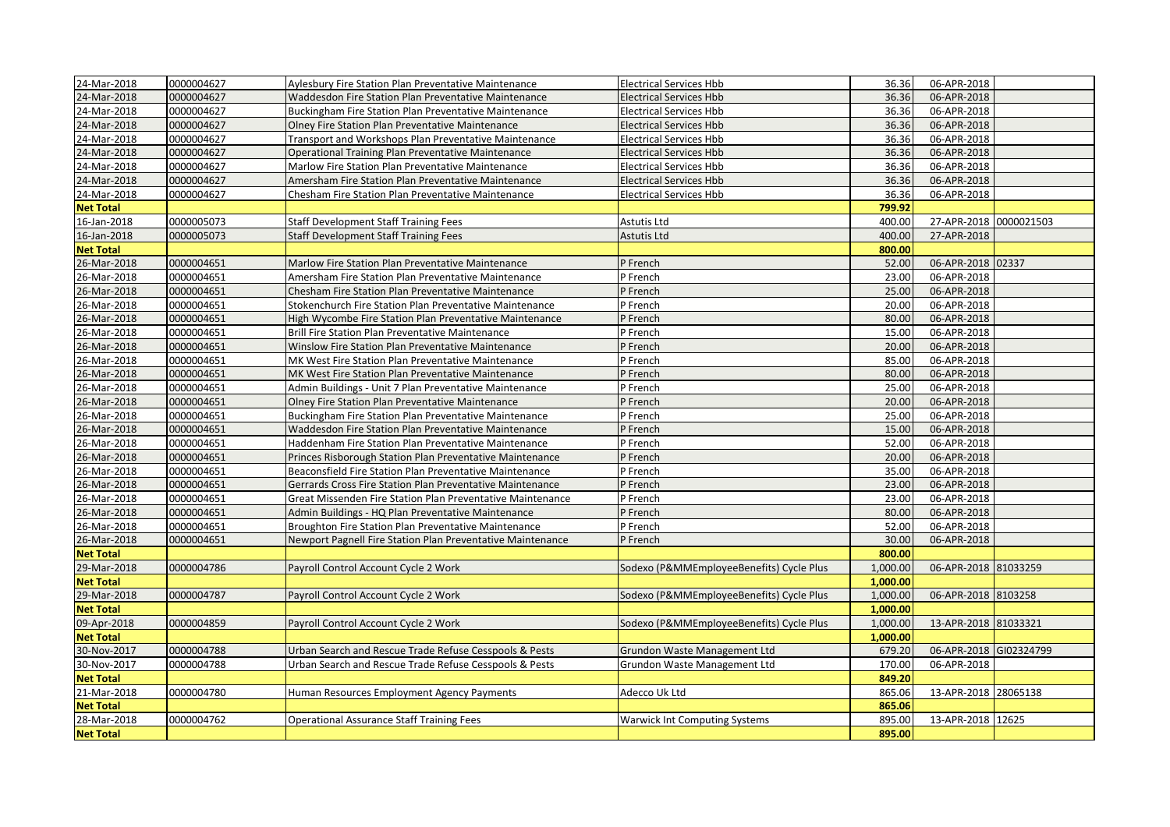| 24-Mar-2018      | 0000004627 | Aylesbury Fire Station Plan Preventative Maintenance       | <b>Electrical Services Hbb</b>           | 36.36    | 06-APR-2018            |  |
|------------------|------------|------------------------------------------------------------|------------------------------------------|----------|------------------------|--|
| 24-Mar-2018      | 0000004627 | Waddesdon Fire Station Plan Preventative Maintenance       | <b>Electrical Services Hbb</b>           | 36.36    | 06-APR-2018            |  |
| 24-Mar-2018      | 0000004627 | Buckingham Fire Station Plan Preventative Maintenance      | <b>Electrical Services Hbb</b>           | 36.36    | 06-APR-2018            |  |
| 24-Mar-2018      | 0000004627 | Olney Fire Station Plan Preventative Maintenance           | <b>Electrical Services Hbb</b>           | 36.36    | 06-APR-2018            |  |
| 24-Mar-2018      | 0000004627 | Transport and Workshops Plan Preventative Maintenance      | <b>Electrical Services Hbb</b>           | 36.36    | 06-APR-2018            |  |
| 24-Mar-2018      | 0000004627 | Operational Training Plan Preventative Maintenance         | <b>Electrical Services Hbb</b>           | 36.36    | 06-APR-2018            |  |
| 24-Mar-2018      | 0000004627 | Marlow Fire Station Plan Preventative Maintenance          | <b>Electrical Services Hbb</b>           | 36.36    | 06-APR-2018            |  |
| 24-Mar-2018      | 0000004627 | Amersham Fire Station Plan Preventative Maintenance        | <b>Electrical Services Hbb</b>           | 36.36    | 06-APR-2018            |  |
| 24-Mar-2018      | 0000004627 | Chesham Fire Station Plan Preventative Maintenance         | <b>Electrical Services Hbb</b>           | 36.36    | 06-APR-2018            |  |
| <b>Net Total</b> |            |                                                            |                                          | 799.92   |                        |  |
| 16-Jan-2018      | 0000005073 | Staff Development Staff Training Fees                      | Astutis Ltd                              | 400.00   | 27-APR-2018 0000021503 |  |
| 16-Jan-2018      | 0000005073 | <b>Staff Development Staff Training Fees</b>               | <b>Astutis Ltd</b>                       | 400.00   | 27-APR-2018            |  |
| <b>Net Total</b> |            |                                                            |                                          | 800.00   |                        |  |
| 26-Mar-2018      | 0000004651 | Marlow Fire Station Plan Preventative Maintenance          | P French                                 | 52.00    | 06-APR-2018 02337      |  |
| 26-Mar-2018      | 0000004651 | Amersham Fire Station Plan Preventative Maintenance        | P French                                 | 23.00    | 06-APR-2018            |  |
| 26-Mar-2018      | 0000004651 | Chesham Fire Station Plan Preventative Maintenance         | P French                                 | 25.00    | 06-APR-2018            |  |
| 26-Mar-2018      | 0000004651 | Stokenchurch Fire Station Plan Preventative Maintenance    | P French                                 | 20.00    | 06-APR-2018            |  |
| 26-Mar-2018      | 0000004651 | High Wycombe Fire Station Plan Preventative Maintenance    | P French                                 | 80.00    | 06-APR-2018            |  |
| 26-Mar-2018      | 0000004651 | Brill Fire Station Plan Preventative Maintenance           | P French                                 | 15.00    | 06-APR-2018            |  |
| 26-Mar-2018      | 0000004651 | Winslow Fire Station Plan Preventative Maintenance         | P French                                 | 20.00    | 06-APR-2018            |  |
| 26-Mar-2018      | 0000004651 | MK West Fire Station Plan Preventative Maintenance         | P French                                 | 85.00    | 06-APR-2018            |  |
| 26-Mar-2018      | 0000004651 | MK West Fire Station Plan Preventative Maintenance         | P French                                 | 80.00    | 06-APR-2018            |  |
| 26-Mar-2018      | 0000004651 | Admin Buildings - Unit 7 Plan Preventative Maintenance     | P French                                 | 25.00    | 06-APR-2018            |  |
| 26-Mar-2018      | 0000004651 | Olney Fire Station Plan Preventative Maintenance           | P French                                 | 20.00    | 06-APR-2018            |  |
| 26-Mar-2018      | 0000004651 | Buckingham Fire Station Plan Preventative Maintenance      | P French                                 | 25.00    | 06-APR-2018            |  |
| 26-Mar-2018      | 0000004651 | Waddesdon Fire Station Plan Preventative Maintenance       | P French                                 | 15.00    | 06-APR-2018            |  |
| 26-Mar-2018      | 0000004651 | Haddenham Fire Station Plan Preventative Maintenance       | P French                                 | 52.00    | 06-APR-2018            |  |
| 26-Mar-2018      | 0000004651 | Princes Risborough Station Plan Preventative Maintenance   | P French                                 | 20.00    | 06-APR-2018            |  |
| 26-Mar-2018      | 0000004651 | Beaconsfield Fire Station Plan Preventative Maintenance    | P French                                 | 35.00    | 06-APR-2018            |  |
| 26-Mar-2018      | 0000004651 | Gerrards Cross Fire Station Plan Preventative Maintenance  | P French                                 | 23.00    | 06-APR-2018            |  |
| 26-Mar-2018      | 0000004651 | Great Missenden Fire Station Plan Preventative Maintenance | P French                                 | 23.00    | 06-APR-2018            |  |
| 26-Mar-2018      | 0000004651 | Admin Buildings - HQ Plan Preventative Maintenance         | P French                                 | 80.00    | 06-APR-2018            |  |
| 26-Mar-2018      | 0000004651 | Broughton Fire Station Plan Preventative Maintenance       | P French                                 | 52.00    | 06-APR-2018            |  |
| 26-Mar-2018      | 0000004651 | Newport Pagnell Fire Station Plan Preventative Maintenance | P French                                 | 30.00    | 06-APR-2018            |  |
| <b>Net Total</b> |            |                                                            |                                          | 800.00   |                        |  |
| 29-Mar-2018      | 0000004786 | Payroll Control Account Cycle 2 Work                       | Sodexo (P&MMEmployeeBenefits) Cycle Plus | 1,000.00 | 06-APR-2018 81033259   |  |
| <b>Net Total</b> |            |                                                            |                                          | 1,000.00 |                        |  |
| 29-Mar-2018      | 0000004787 | Payroll Control Account Cycle 2 Work                       | Sodexo (P&MMEmployeeBenefits) Cycle Plus | 1,000.00 | 06-APR-2018 8103258    |  |
| <b>Net Total</b> |            |                                                            |                                          | 1,000.00 |                        |  |
| 09-Apr-2018      | 0000004859 | Payroll Control Account Cycle 2 Work                       | Sodexo (P&MMEmployeeBenefits) Cycle Plus | 1,000.00 | 13-APR-2018 81033321   |  |
| <b>Net Total</b> |            |                                                            |                                          | 1,000.00 |                        |  |
| 30-Nov-2017      | 0000004788 | Urban Search and Rescue Trade Refuse Cesspools & Pests     | Grundon Waste Management Ltd             | 679.20   | 06-APR-2018 GI02324799 |  |
| 30-Nov-2017      | 0000004788 | Urban Search and Rescue Trade Refuse Cesspools & Pests     | Grundon Waste Management Ltd             | 170.00   | 06-APR-2018            |  |
| <b>Net Total</b> |            |                                                            |                                          | 849.20   |                        |  |
| 21-Mar-2018      | 0000004780 | Human Resources Employment Agency Payments                 | Adecco Uk Ltd                            | 865.06   | 13-APR-2018 28065138   |  |
| <b>Net Total</b> |            |                                                            |                                          | 865.06   |                        |  |
| 28-Mar-2018      | 0000004762 | <b>Operational Assurance Staff Training Fees</b>           | Warwick Int Computing Systems            | 895.00   | 13-APR-2018 12625      |  |
| <b>Net Total</b> |            |                                                            |                                          | 895.00   |                        |  |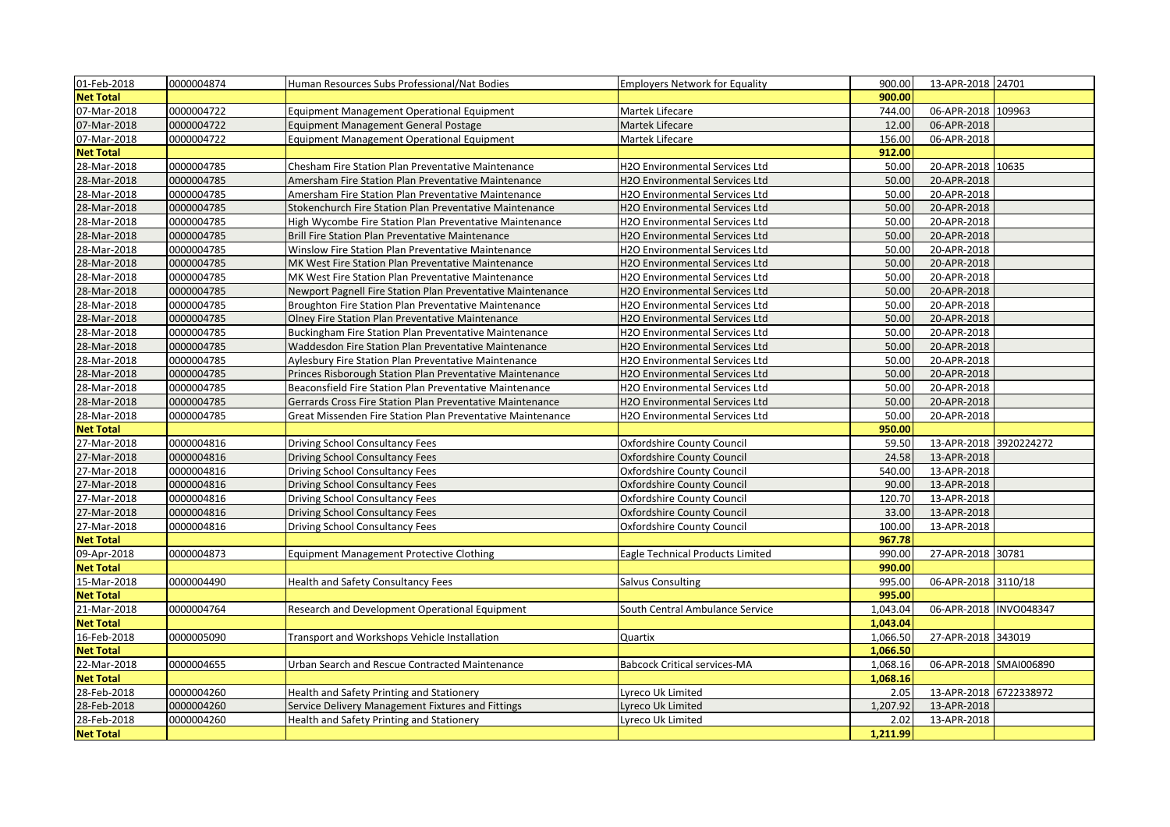| 01-Feb-2018      | 0000004874 | Human Resources Subs Professional/Nat Bodies                | <b>Employers Network for Equality</b> | 900.00   | 13-APR-2018 24701       |  |
|------------------|------------|-------------------------------------------------------------|---------------------------------------|----------|-------------------------|--|
| <b>Net Total</b> |            |                                                             |                                       | 900.00   |                         |  |
| 07-Mar-2018      | 0000004722 | <b>Equipment Management Operational Equipment</b>           | Martek Lifecare                       | 744.00   | 06-APR-2018 109963      |  |
| 07-Mar-2018      | 0000004722 | <b>Equipment Management General Postage</b>                 | Martek Lifecare                       | 12.00    | 06-APR-2018             |  |
| 07-Mar-2018      | 0000004722 | <b>Equipment Management Operational Equipment</b>           | Martek Lifecare                       | 156.00   | 06-APR-2018             |  |
| <b>Net Total</b> |            |                                                             |                                       | 912.00   |                         |  |
| 28-Mar-2018      | 0000004785 | Chesham Fire Station Plan Preventative Maintenance          | H2O Environmental Services Ltd        | 50.00    | 20-APR-2018 10635       |  |
| 28-Mar-2018      | 0000004785 | Amersham Fire Station Plan Preventative Maintenance         | H2O Environmental Services Ltd        | 50.00    | 20-APR-2018             |  |
| 28-Mar-2018      | 0000004785 | Amersham Fire Station Plan Preventative Maintenance         | H2O Environmental Services Ltd        | 50.00    | 20-APR-2018             |  |
| 28-Mar-2018      | 0000004785 | Stokenchurch Fire Station Plan Preventative Maintenance     | H2O Environmental Services Ltd        | 50.00    | 20-APR-2018             |  |
| 28-Mar-2018      | 0000004785 | High Wycombe Fire Station Plan Preventative Maintenance     | H2O Environmental Services Ltd        | 50.00    | 20-APR-2018             |  |
| 28-Mar-2018      | 0000004785 | Brill Fire Station Plan Preventative Maintenance            | H2O Environmental Services Ltd        | 50.00    | 20-APR-2018             |  |
| 28-Mar-2018      | 0000004785 | Winslow Fire Station Plan Preventative Maintenance          | H2O Environmental Services Ltd        | 50.00    | 20-APR-2018             |  |
| 28-Mar-2018      | 0000004785 | MK West Fire Station Plan Preventative Maintenance          | H2O Environmental Services Ltd        | 50.00    | 20-APR-2018             |  |
| 28-Mar-2018      | 0000004785 | MK West Fire Station Plan Preventative Maintenance          | H2O Environmental Services Ltd        | 50.00    | 20-APR-2018             |  |
| 28-Mar-2018      | 0000004785 | Newport Pagnell Fire Station Plan Preventative Maintenance  | H2O Environmental Services Ltd        | 50.00    | 20-APR-2018             |  |
| 28-Mar-2018      | 0000004785 | Broughton Fire Station Plan Preventative Maintenance        | H2O Environmental Services Ltd        | 50.00    | 20-APR-2018             |  |
| 28-Mar-2018      | 0000004785 | Olney Fire Station Plan Preventative Maintenance            | H2O Environmental Services Ltd        | 50.00    | 20-APR-2018             |  |
| 28-Mar-2018      | 0000004785 | Buckingham Fire Station Plan Preventative Maintenance       | H2O Environmental Services Ltd        | 50.00    | 20-APR-2018             |  |
| 28-Mar-2018      | 0000004785 | <b>Waddesdon Fire Station Plan Preventative Maintenance</b> | H2O Environmental Services Ltd        | 50.00    | 20-APR-2018             |  |
| 28-Mar-2018      | 0000004785 | Aylesbury Fire Station Plan Preventative Maintenance        | H2O Environmental Services Ltd        | 50.00    | 20-APR-2018             |  |
| 28-Mar-2018      | 0000004785 | Princes Risborough Station Plan Preventative Maintenance    | H2O Environmental Services Ltd        | 50.00    | 20-APR-2018             |  |
| 28-Mar-2018      | 0000004785 | Beaconsfield Fire Station Plan Preventative Maintenance     | H2O Environmental Services Ltd        | 50.00    | 20-APR-2018             |  |
| 28-Mar-2018      | 0000004785 | Gerrards Cross Fire Station Plan Preventative Maintenance   | H2O Environmental Services Ltd        | 50.00    | 20-APR-2018             |  |
| 28-Mar-2018      | 0000004785 | Great Missenden Fire Station Plan Preventative Maintenance  | H2O Environmental Services Ltd        | 50.00    | 20-APR-2018             |  |
| <b>Net Total</b> |            |                                                             |                                       | 950.00   |                         |  |
| 27-Mar-2018      | 0000004816 | Driving School Consultancy Fees                             | Oxfordshire County Council            | 59.50    | 13-APR-2018 3920224272  |  |
| 27-Mar-2018      | 0000004816 | Driving School Consultancy Fees                             | Oxfordshire County Council            | 24.58    | 13-APR-2018             |  |
| 27-Mar-2018      | 0000004816 | Driving School Consultancy Fees                             | Oxfordshire County Council            | 540.00   | 13-APR-2018             |  |
| 27-Mar-2018      | 0000004816 | Driving School Consultancy Fees                             | <b>Oxfordshire County Council</b>     | 90.00    | 13-APR-2018             |  |
| 27-Mar-2018      | 0000004816 | Driving School Consultancy Fees                             | Oxfordshire County Council            | 120.70   | 13-APR-2018             |  |
| 27-Mar-2018      | 0000004816 | Driving School Consultancy Fees                             | Oxfordshire County Council            | 33.00    | 13-APR-2018             |  |
| 27-Mar-2018      | 0000004816 | Driving School Consultancy Fees                             | Oxfordshire County Council            | 100.00   | 13-APR-2018             |  |
| <b>Net Total</b> |            |                                                             |                                       | 967.78   |                         |  |
| 09-Apr-2018      | 0000004873 | <b>Equipment Management Protective Clothing</b>             | Eagle Technical Products Limited      | 990.00   | 27-APR-2018 30781       |  |
| <b>Net Total</b> |            |                                                             |                                       | 990.00   |                         |  |
| 15-Mar-2018      | 0000004490 | <b>Health and Safety Consultancy Fees</b>                   | Salvus Consulting                     | 995.00   | 06-APR-2018 3110/18     |  |
| <b>Net Total</b> |            |                                                             |                                       | 995.00   |                         |  |
| 21-Mar-2018      | 0000004764 | Research and Development Operational Equipment              | South Central Ambulance Service       | 1,043.04 | 06-APR-2018  INVO048347 |  |
| <b>Net Total</b> |            |                                                             |                                       | 1,043.04 |                         |  |
| 16-Feb-2018      | 0000005090 | Transport and Workshops Vehicle Installation                | Quartix                               | 1,066.50 | 27-APR-2018 343019      |  |
| <b>Net Total</b> |            |                                                             |                                       | 1,066.50 |                         |  |
| 22-Mar-2018      | 0000004655 | Urban Search and Rescue Contracted Maintenance              | <b>Babcock Critical services-MA</b>   | 1,068.16 | 06-APR-2018 SMAI006890  |  |
| <b>Net Total</b> |            |                                                             |                                       | 1,068.16 |                         |  |
| 28-Feb-2018      | 0000004260 | Health and Safety Printing and Stationery                   | Lyreco Uk Limited                     | 2.05     | 13-APR-2018 6722338972  |  |
| 28-Feb-2018      | 0000004260 | Service Delivery Management Fixtures and Fittings           | Lyreco Uk Limited                     | 1,207.92 | 13-APR-2018             |  |
| 28-Feb-2018      | 0000004260 | Health and Safety Printing and Stationery                   | Lyreco Uk Limited                     | 2.02     | 13-APR-2018             |  |
| <b>Net Total</b> |            |                                                             |                                       | 1,211.99 |                         |  |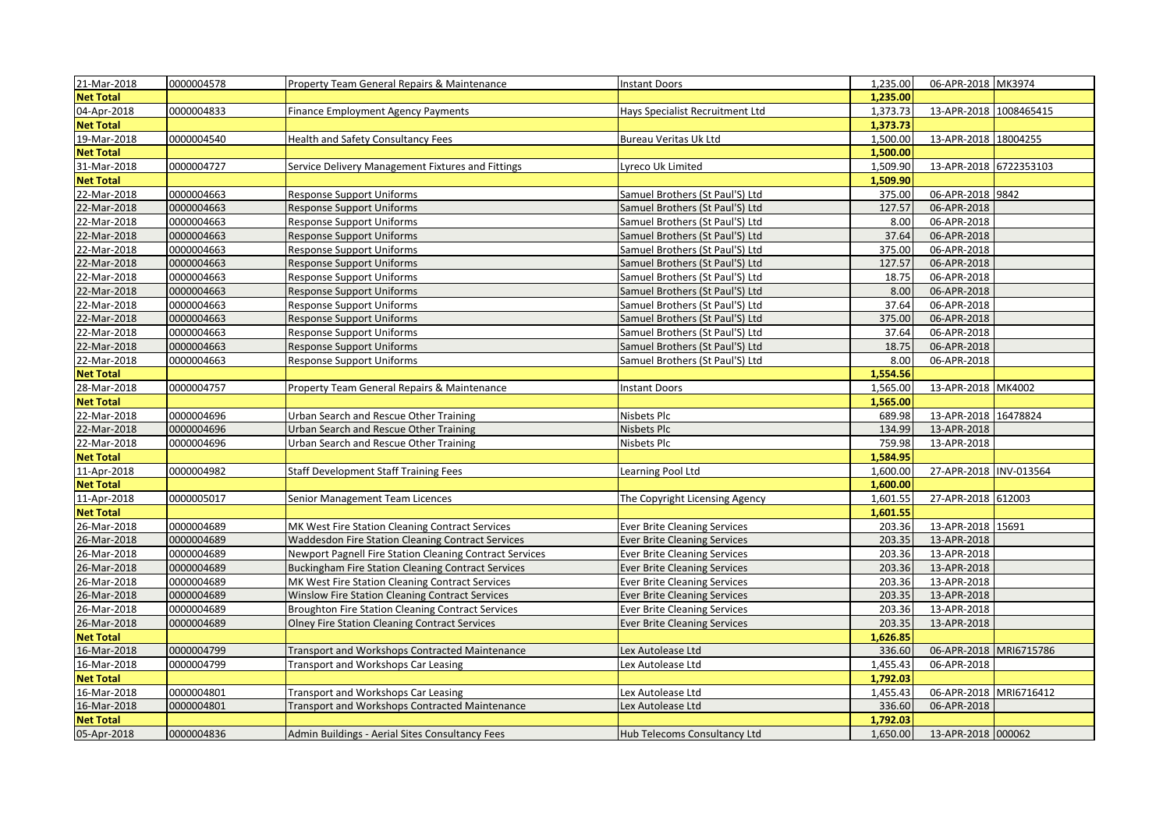| 21-Mar-2018      | 0000004578 | Property Team General Repairs & Maintenance               | <b>Instant Doors</b>                | 1,235.00 | 06-APR-2018 MK3974     |  |
|------------------|------------|-----------------------------------------------------------|-------------------------------------|----------|------------------------|--|
| <b>Net Total</b> |            |                                                           |                                     | 1,235.00 |                        |  |
| 04-Apr-2018      | 0000004833 | <b>Finance Employment Agency Payments</b>                 | Hays Specialist Recruitment Ltd     | 1,373.73 | 13-APR-2018 1008465415 |  |
| <b>Net Total</b> |            |                                                           |                                     | 1.373.73 |                        |  |
| 19-Mar-2018      | 0000004540 | Health and Safety Consultancy Fees                        | Bureau Veritas Uk Ltd               | 1,500.00 | 13-APR-2018 18004255   |  |
| <b>Net Total</b> |            |                                                           |                                     | 1,500.00 |                        |  |
| 31-Mar-2018      | 0000004727 | Service Delivery Management Fixtures and Fittings         | Lyreco Uk Limited                   | 1,509.90 | 13-APR-2018 6722353103 |  |
| <b>Net Total</b> |            |                                                           |                                     | 1,509.90 |                        |  |
| 22-Mar-2018      | 0000004663 | <b>Response Support Uniforms</b>                          | Samuel Brothers (St Paul'S) Ltd     | 375.00   | 06-APR-2018 9842       |  |
| 22-Mar-2018      | 0000004663 | Response Support Uniforms                                 | Samuel Brothers (St Paul'S) Ltd     | 127.57   | 06-APR-2018            |  |
| 22-Mar-2018      | 0000004663 | <b>Response Support Uniforms</b>                          | Samuel Brothers (St Paul'S) Ltd     | 8.00     | 06-APR-2018            |  |
| 22-Mar-2018      | 0000004663 | Response Support Uniforms                                 | Samuel Brothers (St Paul'S) Ltd     | 37.64    | 06-APR-2018            |  |
| 22-Mar-2018      | 0000004663 | <b>Response Support Uniforms</b>                          | Samuel Brothers (St Paul'S) Ltd     | 375.00   | 06-APR-2018            |  |
| 22-Mar-2018      | 0000004663 | Response Support Uniforms                                 | Samuel Brothers (St Paul'S) Ltd     | 127.57   | 06-APR-2018            |  |
| 22-Mar-2018      | 0000004663 | <b>Response Support Uniforms</b>                          | Samuel Brothers (St Paul'S) Ltd     | 18.75    | 06-APR-2018            |  |
| 22-Mar-2018      | 0000004663 | Response Support Uniforms                                 | Samuel Brothers (St Paul'S) Ltd     | 8.00     | 06-APR-2018            |  |
| 22-Mar-2018      | 0000004663 | <b>Response Support Uniforms</b>                          | Samuel Brothers (St Paul'S) Ltd     | 37.64    | 06-APR-2018            |  |
| 22-Mar-2018      | 0000004663 | Response Support Uniforms                                 | Samuel Brothers (St Paul'S) Ltd     | 375.00   | 06-APR-2018            |  |
| 22-Mar-2018      | 0000004663 | Response Support Uniforms                                 | Samuel Brothers (St Paul'S) Ltd     | 37.64    | 06-APR-2018            |  |
| 22-Mar-2018      | 0000004663 | <b>Response Support Uniforms</b>                          | Samuel Brothers (St Paul'S) Ltd     | 18.75    | 06-APR-2018            |  |
| 22-Mar-2018      | 0000004663 | Response Support Uniforms                                 | Samuel Brothers (St Paul'S) Ltd     | 8.00     | 06-APR-2018            |  |
| <b>Net Total</b> |            |                                                           |                                     | 1,554.56 |                        |  |
| 28-Mar-2018      | 0000004757 | Property Team General Repairs & Maintenance               | <b>Instant Doors</b>                | 1,565.00 | 13-APR-2018 MK4002     |  |
| <b>Net Total</b> |            |                                                           |                                     | 1,565.00 |                        |  |
| 22-Mar-2018      | 0000004696 | Urban Search and Rescue Other Training                    | Nisbets Plc                         | 689.98   | 13-APR-2018 16478824   |  |
| 22-Mar-2018      | 0000004696 | Urban Search and Rescue Other Training                    | Nisbets Plc                         | 134.99   | 13-APR-2018            |  |
| 22-Mar-2018      | 0000004696 | Urban Search and Rescue Other Training                    | Nisbets Plc                         | 759.98   | 13-APR-2018            |  |
| <b>Net Total</b> |            |                                                           |                                     | 1,584.95 |                        |  |
| 11-Apr-2018      | 0000004982 | <b>Staff Development Staff Training Fees</b>              | Learning Pool Ltd                   | 1,600.00 | 27-APR-2018 INV-013564 |  |
| <b>Net Total</b> |            |                                                           |                                     | 1,600.00 |                        |  |
| 11-Apr-2018      | 0000005017 | Senior Management Team Licences                           | The Copyright Licensing Agency      | 1,601.55 | 27-APR-2018 612003     |  |
| <b>Net Total</b> |            |                                                           |                                     | 1,601.55 |                        |  |
| 26-Mar-2018      | 0000004689 | MK West Fire Station Cleaning Contract Services           | <b>Ever Brite Cleaning Services</b> | 203.36   | 13-APR-2018 15691      |  |
| 26-Mar-2018      | 0000004689 | <b>Waddesdon Fire Station Cleaning Contract Services</b>  | <b>Ever Brite Cleaning Services</b> | 203.35   | 13-APR-2018            |  |
| 26-Mar-2018      | 0000004689 | Newport Pagnell Fire Station Cleaning Contract Services   | <b>Ever Brite Cleaning Services</b> | 203.36   | 13-APR-2018            |  |
| 26-Mar-2018      | 0000004689 | <b>Buckingham Fire Station Cleaning Contract Services</b> | <b>Ever Brite Cleaning Services</b> | 203.36   | 13-APR-2018            |  |
| 26-Mar-2018      | 0000004689 | MK West Fire Station Cleaning Contract Services           | <b>Ever Brite Cleaning Services</b> | 203.36   | 13-APR-2018            |  |
| 26-Mar-2018      | 0000004689 | Winslow Fire Station Cleaning Contract Services           | <b>Ever Brite Cleaning Services</b> | 203.35   | 13-APR-2018            |  |
| 26-Mar-2018      | 0000004689 | Broughton Fire Station Cleaning Contract Services         | Ever Brite Cleaning Services        | 203.36   | 13-APR-2018            |  |
| 26-Mar-2018      | 0000004689 | <b>Olney Fire Station Cleaning Contract Services</b>      | <b>Ever Brite Cleaning Services</b> | 203.35   | 13-APR-2018            |  |
| <b>Net Total</b> |            |                                                           |                                     | 1,626.85 |                        |  |
| 16-Mar-2018      | 0000004799 | <b>Transport and Workshops Contracted Maintenance</b>     | Lex Autolease Ltd                   | 336.60   | 06-APR-2018 MRI6715786 |  |
| 16-Mar-2018      | 0000004799 | <b>Transport and Workshops Car Leasing</b>                | Lex Autolease Ltd                   | 1,455.43 | 06-APR-2018            |  |
| <b>Net Total</b> |            |                                                           |                                     | 1,792.03 |                        |  |
| 16-Mar-2018      | 0000004801 | Transport and Workshops Car Leasing                       | Lex Autolease Ltd                   | 1,455.43 | 06-APR-2018 MRI6716412 |  |
| 16-Mar-2018      | 0000004801 | Transport and Workshops Contracted Maintenance            | Lex Autolease Ltd                   | 336.60   | 06-APR-2018            |  |
| <b>Net Total</b> |            |                                                           |                                     | 1,792.03 |                        |  |
| 05-Apr-2018      | 0000004836 | Admin Buildings - Aerial Sites Consultancy Fees           | Hub Telecoms Consultancy Ltd        | 1,650.00 | 13-APR-2018 000062     |  |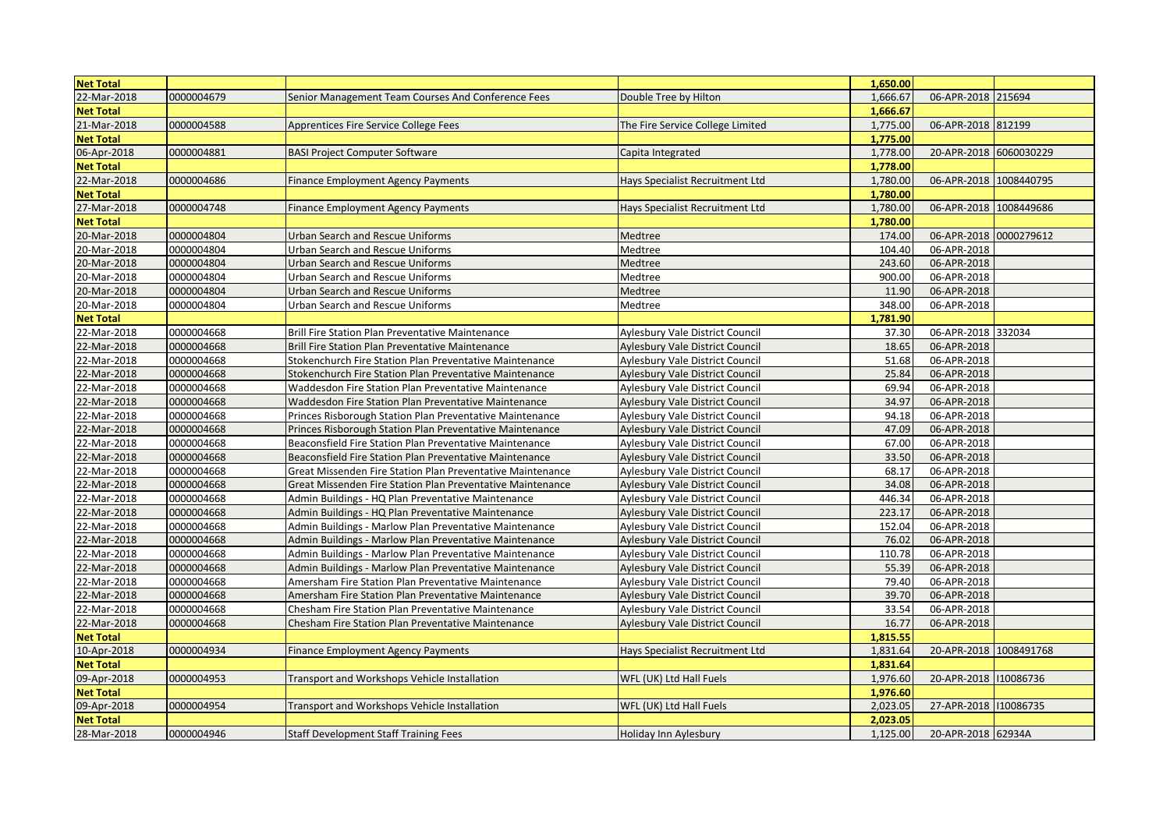| <b>Net Total</b> |            |                                                                 |                                        | 1,650.00 |                        |  |
|------------------|------------|-----------------------------------------------------------------|----------------------------------------|----------|------------------------|--|
| 22-Mar-2018      | 0000004679 | Senior Management Team Courses And Conference Fees              | Double Tree by Hilton                  | 1,666.67 | 06-APR-2018 215694     |  |
| <b>Net Total</b> |            |                                                                 |                                        | 1,666.67 |                        |  |
| 21-Mar-2018      | 0000004588 | Apprentices Fire Service College Fees                           | The Fire Service College Limited       | 1,775.00 | 06-APR-2018 812199     |  |
| <b>Net Total</b> |            |                                                                 |                                        | 1,775.00 |                        |  |
| 06-Apr-2018      | 0000004881 | <b>BASI Project Computer Software</b>                           | Capita Integrated                      | 1,778.00 | 20-APR-2018 6060030229 |  |
| <b>Net Total</b> |            |                                                                 |                                        | 1,778.00 |                        |  |
| 22-Mar-2018      | 0000004686 | Finance Employment Agency Payments                              | Hays Specialist Recruitment Ltd        | 1,780.00 | 06-APR-2018 1008440795 |  |
| <b>Net Total</b> |            |                                                                 |                                        | 1,780.00 |                        |  |
| 27-Mar-2018      | 0000004748 | <b>Finance Employment Agency Payments</b>                       | Hays Specialist Recruitment Ltd        | 1,780.00 | 06-APR-2018 1008449686 |  |
| <b>Net Total</b> |            |                                                                 |                                        | 1,780.00 |                        |  |
| 20-Mar-2018      | 0000004804 | Urban Search and Rescue Uniforms                                | Medtree                                | 174.00   | 06-APR-2018 0000279612 |  |
| 20-Mar-2018      | 0000004804 | Urban Search and Rescue Uniforms                                | Medtree                                | 104.40   | 06-APR-2018            |  |
| 20-Mar-2018      | 0000004804 | Urban Search and Rescue Uniforms                                | Medtree                                | 243.60   | 06-APR-2018            |  |
| 20-Mar-2018      | 0000004804 | Urban Search and Rescue Uniforms                                | Medtree                                | 900.00   | 06-APR-2018            |  |
| 20-Mar-2018      | 0000004804 | Urban Search and Rescue Uniforms                                | Medtree                                | 11.90    | 06-APR-2018            |  |
| 20-Mar-2018      | 0000004804 | Urban Search and Rescue Uniforms                                | Medtree                                | 348.00   | 06-APR-2018            |  |
| <b>Net Total</b> |            |                                                                 |                                        | 1,781.90 |                        |  |
| 22-Mar-2018      | 0000004668 | Brill Fire Station Plan Preventative Maintenance                | Aylesbury Vale District Council        | 37.30    | 06-APR-2018 332034     |  |
| 22-Mar-2018      | 0000004668 | <b>Brill Fire Station Plan Preventative Maintenance</b>         | Aylesbury Vale District Council        | 18.65    | 06-APR-2018            |  |
| 22-Mar-2018      | 0000004668 | Stokenchurch Fire Station Plan Preventative Maintenance         | Aylesbury Vale District Council        | 51.68    | 06-APR-2018            |  |
| 22-Mar-2018      | 0000004668 | Stokenchurch Fire Station Plan Preventative Maintenance         | <b>Aylesbury Vale District Council</b> | 25.84    | 06-APR-2018            |  |
| 22-Mar-2018      | 0000004668 | Waddesdon Fire Station Plan Preventative Maintenance            | Aylesbury Vale District Council        | 69.94    | 06-APR-2018            |  |
| 22-Mar-2018      | 0000004668 | Waddesdon Fire Station Plan Preventative Maintenance            | Aylesbury Vale District Council        | 34.97    | 06-APR-2018            |  |
| 22-Mar-2018      | 0000004668 | <b>Princes Risborough Station Plan Preventative Maintenance</b> | Aylesbury Vale District Council        | 94.18    | 06-APR-2018            |  |
| 22-Mar-2018      | 0000004668 | Princes Risborough Station Plan Preventative Maintenance        | Aylesbury Vale District Council        | 47.09    | 06-APR-2018            |  |
| 22-Mar-2018      | 0000004668 | Beaconsfield Fire Station Plan Preventative Maintenance         | Aylesbury Vale District Council        | 67.00    | 06-APR-2018            |  |
| 22-Mar-2018      | 0000004668 | Beaconsfield Fire Station Plan Preventative Maintenance         | Aylesbury Vale District Council        | 33.50    | 06-APR-2018            |  |
| 22-Mar-2018      | 0000004668 | Great Missenden Fire Station Plan Preventative Maintenance      | Aylesbury Vale District Council        | 68.17    | 06-APR-2018            |  |
| 22-Mar-2018      | 0000004668 | Great Missenden Fire Station Plan Preventative Maintenance      | <b>Aylesbury Vale District Council</b> | 34.08    | 06-APR-2018            |  |
| 22-Mar-2018      | 0000004668 | Admin Buildings - HQ Plan Preventative Maintenance              | Aylesbury Vale District Council        | 446.34   | 06-APR-2018            |  |
| 22-Mar-2018      | 0000004668 | Admin Buildings - HQ Plan Preventative Maintenance              | Aylesbury Vale District Council        | 223.17   | 06-APR-2018            |  |
| 22-Mar-2018      | 0000004668 | Admin Buildings - Marlow Plan Preventative Maintenance          | Aylesbury Vale District Council        | 152.04   | 06-APR-2018            |  |
| 22-Mar-2018      | 0000004668 | Admin Buildings - Marlow Plan Preventative Maintenance          | <b>Aylesbury Vale District Council</b> | 76.02    | 06-APR-2018            |  |
| 22-Mar-2018      | 0000004668 | Admin Buildings - Marlow Plan Preventative Maintenance          | Aylesbury Vale District Council        | 110.78   | 06-APR-2018            |  |
| 22-Mar-2018      | 0000004668 | Admin Buildings - Marlow Plan Preventative Maintenance          | <b>Aylesbury Vale District Council</b> | 55.39    | 06-APR-2018            |  |
| 22-Mar-2018      | 0000004668 | Amersham Fire Station Plan Preventative Maintenance             | <b>Aylesbury Vale District Council</b> | 79.40    | 06-APR-2018            |  |
| 22-Mar-2018      | 0000004668 | Amersham Fire Station Plan Preventative Maintenance             | Aylesbury Vale District Council        | 39.70    | 06-APR-2018            |  |
| 22-Mar-2018      | 0000004668 | Chesham Fire Station Plan Preventative Maintenance              | Aylesbury Vale District Council        | 33.54    | 06-APR-2018            |  |
| 22-Mar-2018      | 0000004668 | Chesham Fire Station Plan Preventative Maintenance              | <b>Aylesbury Vale District Council</b> | 16.77    | 06-APR-2018            |  |
| <b>Net Total</b> |            |                                                                 |                                        | 1,815.55 |                        |  |
| 10-Apr-2018      | 0000004934 | <b>Finance Employment Agency Payments</b>                       | Hays Specialist Recruitment Ltd        | 1,831.64 | 20-APR-2018 1008491768 |  |
| <b>Net Total</b> |            |                                                                 |                                        | 1,831.64 |                        |  |
| 09-Apr-2018      | 0000004953 | Transport and Workshops Vehicle Installation                    | WFL (UK) Ltd Hall Fuels                | 1,976.60 | 20-APR-2018 110086736  |  |
| <b>Net Total</b> |            |                                                                 |                                        | 1,976.60 |                        |  |
| 09-Apr-2018      | 0000004954 | Transport and Workshops Vehicle Installation                    | WFL (UK) Ltd Hall Fuels                | 2,023.05 | 27-APR-2018 110086735  |  |
| <b>Net Total</b> |            |                                                                 |                                        | 2.023.05 |                        |  |
| 28-Mar-2018      | 0000004946 | <b>Staff Development Staff Training Fees</b>                    | Holiday Inn Aylesbury                  | 1,125.00 | 20-APR-2018 62934A     |  |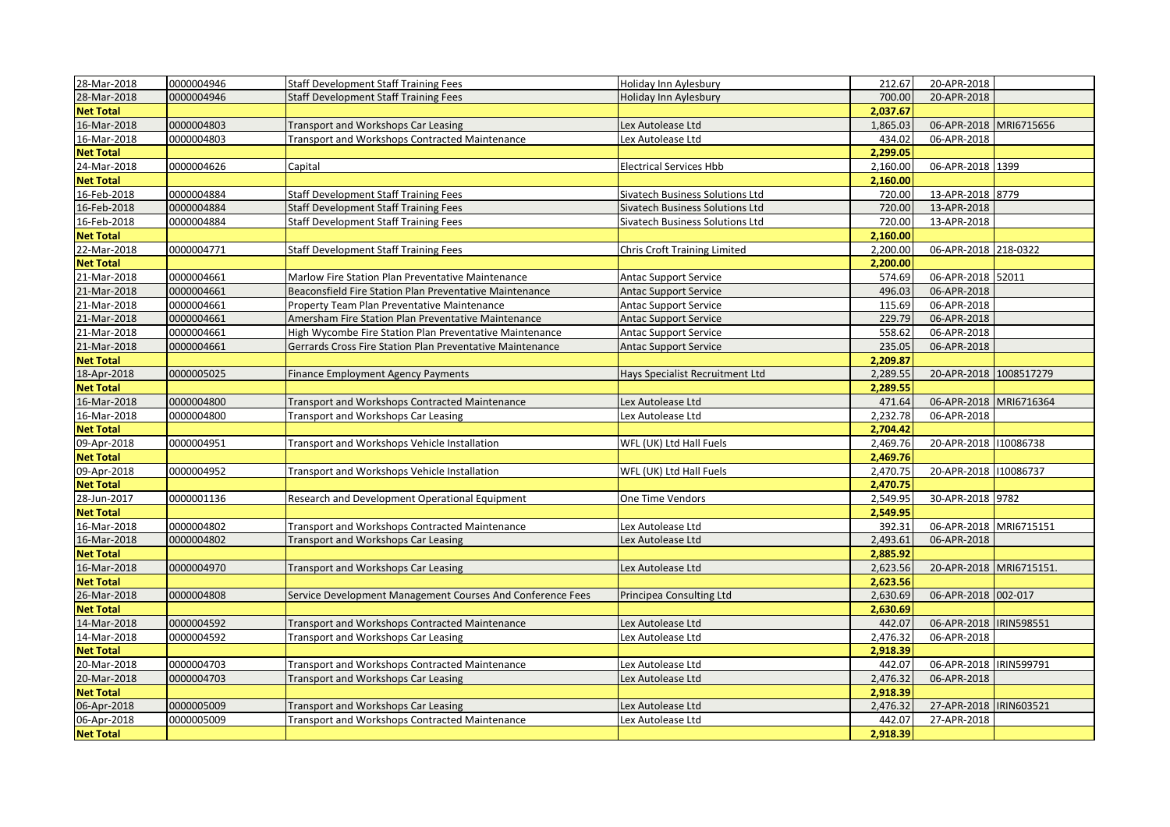| 28-Mar-2018      | 0000004946 | <b>Staff Development Staff Training Fees</b>               | Holiday Inn Aylesbury           | 212.67   | 20-APR-2018              |  |
|------------------|------------|------------------------------------------------------------|---------------------------------|----------|--------------------------|--|
| 28-Mar-2018      | 0000004946 | Staff Development Staff Training Fees                      | Holiday Inn Aylesbury           | 700.00   | 20-APR-2018              |  |
| <b>Net Total</b> |            |                                                            |                                 | 2,037.67 |                          |  |
| 16-Mar-2018      | 0000004803 | <b>Transport and Workshops Car Leasing</b>                 | Lex Autolease Ltd               | 1,865.03 | 06-APR-2018 MRI6715656   |  |
| 16-Mar-2018      | 0000004803 | Transport and Workshops Contracted Maintenance             | Lex Autolease Ltd               | 434.02   | 06-APR-2018              |  |
| <b>Net Total</b> |            |                                                            |                                 | 2,299.05 |                          |  |
| 24-Mar-2018      | 0000004626 | Capital                                                    | <b>Electrical Services Hbb</b>  | 2,160.00 | 06-APR-2018 1399         |  |
| <b>Net Total</b> |            |                                                            |                                 | 2,160.00 |                          |  |
| 16-Feb-2018      | 0000004884 | <b>Staff Development Staff Training Fees</b>               | Sivatech Business Solutions Ltd | 720.00   | 13-APR-2018 8779         |  |
| 16-Feb-2018      | 0000004884 | Staff Development Staff Training Fees                      | Sivatech Business Solutions Ltd | 720.00   | 13-APR-2018              |  |
| 16-Feb-2018      | 0000004884 | <b>Staff Development Staff Training Fees</b>               | Sivatech Business Solutions Ltd | 720.00   | 13-APR-2018              |  |
| <b>Net Total</b> |            |                                                            |                                 | 2,160.00 |                          |  |
| 22-Mar-2018      | 0000004771 | Staff Development Staff Training Fees                      | Chris Croft Training Limited    | 2,200.00 | 06-APR-2018 218-0322     |  |
| <b>Net Total</b> |            |                                                            |                                 | 2,200.00 |                          |  |
| 21-Mar-2018      | 0000004661 | Marlow Fire Station Plan Preventative Maintenance          | <b>Antac Support Service</b>    | 574.69   | 06-APR-2018 52011        |  |
| 21-Mar-2018      | 0000004661 | Beaconsfield Fire Station Plan Preventative Maintenance    | <b>Antac Support Service</b>    | 496.03   | 06-APR-2018              |  |
| 21-Mar-2018      | 0000004661 | Property Team Plan Preventative Maintenance                | <b>Antac Support Service</b>    | 115.69   | 06-APR-2018              |  |
| 21-Mar-2018      | 0000004661 | Amersham Fire Station Plan Preventative Maintenance        | <b>Antac Support Service</b>    | 229.79   | 06-APR-2018              |  |
| 21-Mar-2018      | 0000004661 | High Wycombe Fire Station Plan Preventative Maintenance    | Antac Support Service           | 558.62   | 06-APR-2018              |  |
| 21-Mar-2018      | 0000004661 | Gerrards Cross Fire Station Plan Preventative Maintenance  | <b>Antac Support Service</b>    | 235.05   | 06-APR-2018              |  |
| <b>Net Total</b> |            |                                                            |                                 | 2,209.87 |                          |  |
| 18-Apr-2018      | 0000005025 | <b>Finance Employment Agency Payments</b>                  | Hays Specialist Recruitment Ltd | 2,289.55 | 20-APR-2018 1008517279   |  |
| <b>Net Total</b> |            |                                                            |                                 | 2,289.55 |                          |  |
| 16-Mar-2018      | 0000004800 | <b>Transport and Workshops Contracted Maintenance</b>      | Lex Autolease Ltd               | 471.64   | 06-APR-2018 MRI6716364   |  |
| 16-Mar-2018      | 0000004800 | <b>Transport and Workshops Car Leasing</b>                 | Lex Autolease Ltd               | 2,232.78 | 06-APR-2018              |  |
| <b>Net Total</b> |            |                                                            |                                 | 2,704.42 |                          |  |
| 09-Apr-2018      | 0000004951 | Transport and Workshops Vehicle Installation               | WFL (UK) Ltd Hall Fuels         | 2,469.76 | 20-APR-2018 10086738     |  |
| <b>Net Total</b> |            |                                                            |                                 | 2,469.76 |                          |  |
| 09-Apr-2018      | 0000004952 | Transport and Workshops Vehicle Installation               | WFL (UK) Ltd Hall Fuels         | 2,470.75 | 20-APR-2018 10086737     |  |
| <b>Net Total</b> |            |                                                            |                                 | 2,470.75 |                          |  |
| 28-Jun-2017      | 0000001136 | Research and Development Operational Equipment             | One Time Vendors                | 2,549.95 | 30-APR-2018 9782         |  |
| <b>Net Total</b> |            |                                                            |                                 | 2,549.95 |                          |  |
| 16-Mar-2018      | 0000004802 | Transport and Workshops Contracted Maintenance             | Lex Autolease Ltd               | 392.31   | 06-APR-2018 MRI6715151   |  |
| 16-Mar-2018      | 0000004802 | Transport and Workshops Car Leasing                        | Lex Autolease Ltd               | 2,493.61 | 06-APR-2018              |  |
| <b>Net Total</b> |            |                                                            |                                 | 2,885.92 |                          |  |
| 16-Mar-2018      | 0000004970 | <b>Transport and Workshops Car Leasing</b>                 | Lex Autolease Ltd               | 2,623.56 | 20-APR-2018 MRI6715151.  |  |
| <b>Net Total</b> |            |                                                            |                                 | 2,623.56 |                          |  |
| 26-Mar-2018      | 0000004808 | Service Development Management Courses And Conference Fees | Principea Consulting Ltd        | 2,630.69 | 06-APR-2018 002-017      |  |
| <b>Net Total</b> |            |                                                            |                                 | 2,630.69 |                          |  |
| 14-Mar-2018      | 0000004592 | <b>Transport and Workshops Contracted Maintenance</b>      | Lex Autolease Ltd               | 442.07   | 06-APR-2018  IRIN598551  |  |
| 14-Mar-2018      | 0000004592 | Transport and Workshops Car Leasing                        | Lex Autolease Ltd               | 2,476.32 | 06-APR-2018              |  |
| <b>Net Total</b> |            |                                                            |                                 | 2,918.39 |                          |  |
| 20-Mar-2018      | 0000004703 | Transport and Workshops Contracted Maintenance             | Lex Autolease Ltd               | 442.07   | 06-APR-2018   IRIN599791 |  |
| 20-Mar-2018      | 0000004703 | Transport and Workshops Car Leasing                        | Lex Autolease Ltd               | 2,476.32 | 06-APR-2018              |  |
| <b>Net Total</b> |            |                                                            |                                 | 2,918.39 |                          |  |
| 06-Apr-2018      | 0000005009 | <b>Transport and Workshops Car Leasing</b>                 | Lex Autolease Ltd               | 2,476.32 | 27-APR-2018  IRIN603521  |  |
| 06-Apr-2018      | 0000005009 | Transport and Workshops Contracted Maintenance             | Lex Autolease Ltd               | 442.07   | 27-APR-2018              |  |
| <b>Net Total</b> |            |                                                            |                                 | 2,918.39 |                          |  |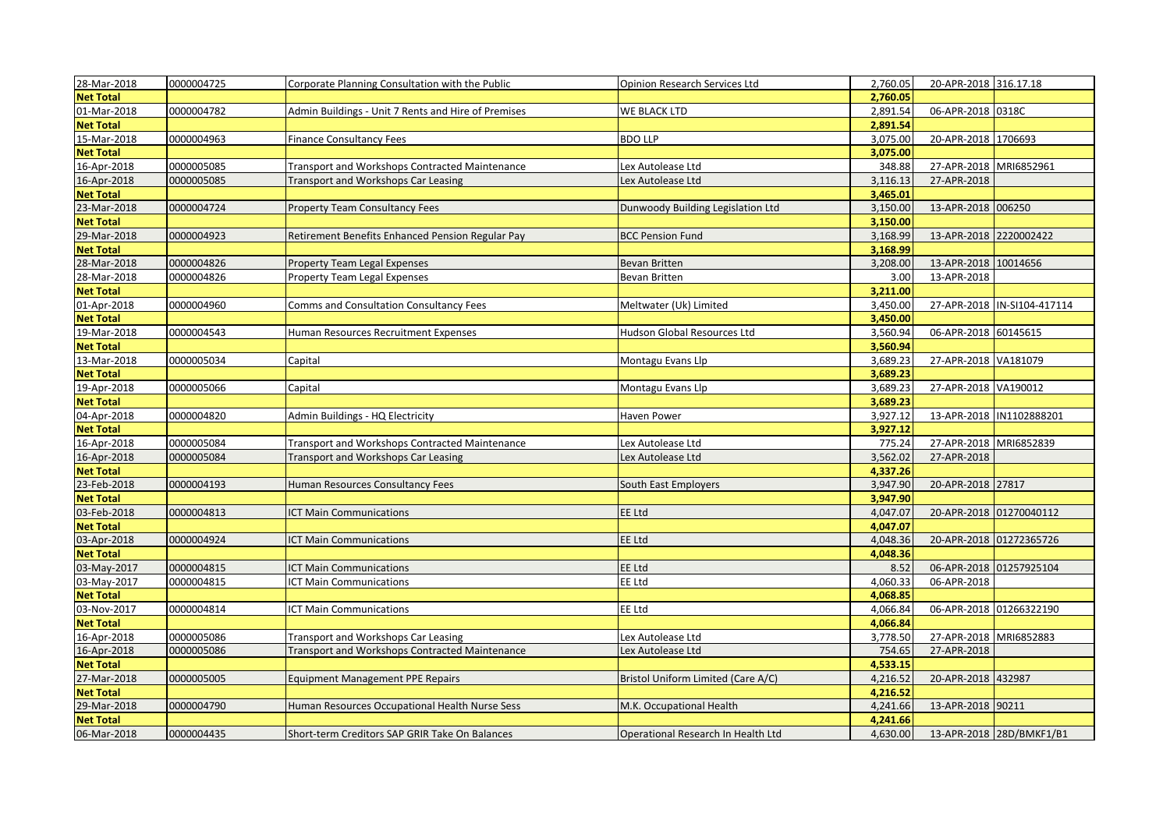| 28-Mar-2018      | 0000004725 | Corporate Planning Consultation with the Public       | <b>Opinion Research Services Ltd</b> | 2,760.05 | 20-APR-2018 316.17.18  |                             |
|------------------|------------|-------------------------------------------------------|--------------------------------------|----------|------------------------|-----------------------------|
| <b>Net Total</b> |            |                                                       |                                      | 2,760.05 |                        |                             |
| 01-Mar-2018      | 0000004782 | Admin Buildings - Unit 7 Rents and Hire of Premises   | WE BLACK LTD                         | 2,891.54 | 06-APR-2018 0318C      |                             |
| <b>Net Total</b> |            |                                                       |                                      | 2,891.54 |                        |                             |
| 15-Mar-2018      | 0000004963 | Finance Consultancy Fees                              | <b>BDO LLP</b>                       | 3,075.00 | 20-APR-2018 1706693    |                             |
| <b>Net Total</b> |            |                                                       |                                      | 3,075.00 |                        |                             |
| 16-Apr-2018      | 0000005085 | <b>Transport and Workshops Contracted Maintenance</b> | Lex Autolease Ltd                    | 348.88   | 27-APR-2018 MRI6852961 |                             |
| 16-Apr-2018      | 0000005085 | <b>Transport and Workshops Car Leasing</b>            | Lex Autolease Ltd                    | 3,116.13 | 27-APR-2018            |                             |
| <b>Net Total</b> |            |                                                       |                                      | 3,465.01 |                        |                             |
| 23-Mar-2018      | 0000004724 | <b>Property Team Consultancy Fees</b>                 | Dunwoody Building Legislation Ltd    | 3,150.00 | 13-APR-2018 006250     |                             |
| <b>Net Total</b> |            |                                                       |                                      | 3,150.00 |                        |                             |
| 29-Mar-2018      | 0000004923 | Retirement Benefits Enhanced Pension Regular Pay      | <b>BCC Pension Fund</b>              | 3,168.99 | 13-APR-2018 2220002422 |                             |
| <b>Net Total</b> |            |                                                       |                                      | 3.168.99 |                        |                             |
| 28-Mar-2018      | 0000004826 | Property Team Legal Expenses                          | Bevan Britten                        | 3,208.00 | 13-APR-2018 10014656   |                             |
| 28-Mar-2018      | 0000004826 | Property Team Legal Expenses                          | Bevan Britten                        | 3.00     | 13-APR-2018            |                             |
| <b>Net Total</b> |            |                                                       |                                      | 3,211.00 |                        |                             |
| 01-Apr-2018      | 0000004960 | <b>Comms and Consultation Consultancy Fees</b>        | Meltwater (Uk) Limited               | 3,450.00 |                        | 27-APR-2018 IN-SI104-417114 |
| <b>Net Total</b> |            |                                                       |                                      | 3,450.00 |                        |                             |
| 19-Mar-2018      | 0000004543 | Human Resources Recruitment Expenses                  | Hudson Global Resources Ltd          | 3,560.94 | 06-APR-2018 60145615   |                             |
| <b>Net Total</b> |            |                                                       |                                      | 3,560.94 |                        |                             |
| 13-Mar-2018      | 0000005034 | Capital                                               | Montagu Evans Llp                    | 3,689.23 | 27-APR-2018 VA181079   |                             |
| <b>Net Total</b> |            |                                                       |                                      | 3.689.23 |                        |                             |
| 19-Apr-2018      | 0000005066 | Capital                                               | Montagu Evans Llp                    | 3,689.23 | 27-APR-2018 VA190012   |                             |
| <b>Net Total</b> |            |                                                       |                                      | 3,689.23 |                        |                             |
| 04-Apr-2018      | 0000004820 | Admin Buildings - HQ Electricity                      | Haven Power                          | 3,927.12 |                        | 13-APR-2018  IN1102888201   |
| <b>Net Total</b> |            |                                                       |                                      | 3,927.12 |                        |                             |
| 16-Apr-2018      | 0000005084 | Transport and Workshops Contracted Maintenance        | Lex Autolease Ltd                    | 775.24   | 27-APR-2018 MRI6852839 |                             |
| 16-Apr-2018      | 0000005084 | Transport and Workshops Car Leasing                   | Lex Autolease Ltd                    | 3,562.02 | 27-APR-2018            |                             |
| <b>Net Total</b> |            |                                                       |                                      | 4,337.26 |                        |                             |
| 23-Feb-2018      | 0000004193 | Human Resources Consultancy Fees                      | South East Employers                 | 3,947.90 | 20-APR-2018 27817      |                             |
| <b>Net Total</b> |            |                                                       |                                      | 3,947.90 |                        |                             |
| 03-Feb-2018      | 0000004813 | <b>ICT Main Communications</b>                        | <b>EE Ltd</b>                        | 4,047.07 |                        | 20-APR-2018 01270040112     |
| <b>Net Total</b> |            |                                                       |                                      | 4,047.07 |                        |                             |
| 03-Apr-2018      | 0000004924 | <b>ICT Main Communications</b>                        | <b>EE Ltd</b>                        | 4.048.36 |                        | 20-APR-2018 01272365726     |
| <b>Net Total</b> |            |                                                       |                                      | 4,048.36 |                        |                             |
| 03-May-2017      | 0000004815 | <b>ICT Main Communications</b>                        | EE Ltd                               | 8.52     |                        | 06-APR-2018 01257925104     |
| 03-May-2017      | 0000004815 | ICT Main Communications                               | EE Ltd                               | 4,060.33 | 06-APR-2018            |                             |
| <b>Net Total</b> |            |                                                       |                                      | 4,068.85 |                        |                             |
| 03-Nov-2017      | 0000004814 | ICT Main Communications                               | EE Ltd                               | 4,066.84 |                        | 06-APR-2018 01266322190     |
| <b>Net Total</b> |            |                                                       |                                      | 4,066.84 |                        |                             |
| 16-Apr-2018      | 0000005086 | <b>Transport and Workshops Car Leasing</b>            | Lex Autolease Ltd                    | 3,778.50 | 27-APR-2018 MRI6852883 |                             |
| 16-Apr-2018      | 0000005086 | <b>Transport and Workshops Contracted Maintenance</b> | Lex Autolease Ltd                    | 754.65   | 27-APR-2018            |                             |
| <b>Net Total</b> |            |                                                       |                                      | 4,533.15 |                        |                             |
| 27-Mar-2018      | 0000005005 | <b>Equipment Management PPE Repairs</b>               | Bristol Uniform Limited (Care A/C)   | 4,216.52 | 20-APR-2018 432987     |                             |
| <b>Net Total</b> |            |                                                       |                                      | 4,216.52 |                        |                             |
| 29-Mar-2018      | 0000004790 | Human Resources Occupational Health Nurse Sess        | M.K. Occupational Health             | 4,241.66 | 13-APR-2018 90211      |                             |
| <b>Net Total</b> |            |                                                       |                                      | 4,241.66 |                        |                             |
| 06-Mar-2018      | 0000004435 | Short-term Creditors SAP GRIR Take On Balances        | Operational Research In Health Ltd   | 4,630.00 |                        | 13-APR-2018 28D/BMKF1/B1    |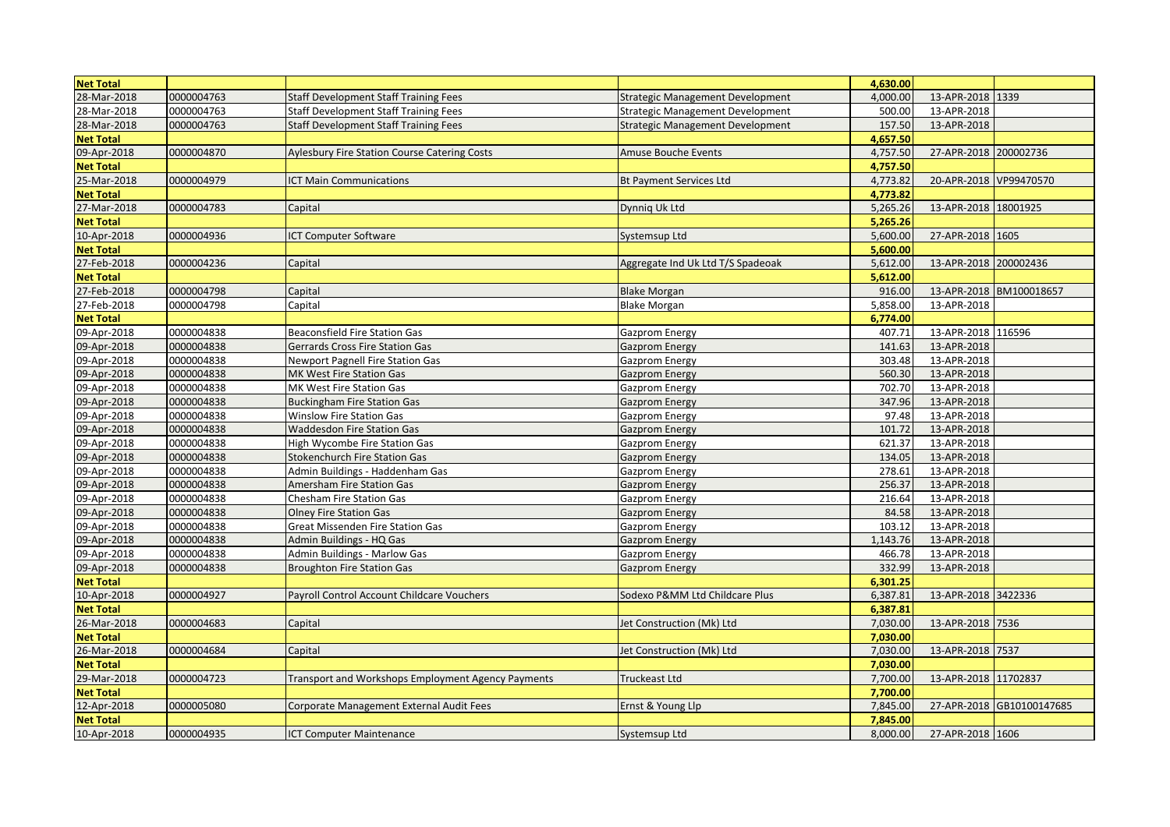| <b>Net Total</b> |            |                                                     |                                   | 4,630.00 |                        |                           |
|------------------|------------|-----------------------------------------------------|-----------------------------------|----------|------------------------|---------------------------|
| 28-Mar-2018      | 0000004763 | <b>Staff Development Staff Training Fees</b>        | Strategic Management Development  | 4,000.00 | 13-APR-2018 1339       |                           |
| 28-Mar-2018      | 0000004763 | <b>Staff Development Staff Training Fees</b>        | Strategic Management Development  | 500.00   | 13-APR-2018            |                           |
| 28-Mar-2018      | 0000004763 | <b>Staff Development Staff Training Fees</b>        | Strategic Management Development  | 157.50   | 13-APR-2018            |                           |
| <b>Net Total</b> |            |                                                     |                                   | 4,657.50 |                        |                           |
| 09-Apr-2018      | 0000004870 | <b>Aylesbury Fire Station Course Catering Costs</b> | Amuse Bouche Events               | 4,757.50 | 27-APR-2018 200002736  |                           |
| <b>Net Total</b> |            |                                                     |                                   | 4,757.50 |                        |                           |
| 25-Mar-2018      | 0000004979 | <b>CT Main Communications</b>                       | <b>Bt Payment Services Ltd</b>    | 4,773.82 | 20-APR-2018 VP99470570 |                           |
| <b>Net Total</b> |            |                                                     |                                   | 4,773.82 |                        |                           |
| 27-Mar-2018      | 0000004783 | Capital                                             | Dynnig Uk Ltd                     | 5,265.26 | 13-APR-2018 18001925   |                           |
| <b>Net Total</b> |            |                                                     |                                   | 5,265.26 |                        |                           |
| 10-Apr-2018      | 0000004936 | <b>ICT Computer Software</b>                        | Systemsup Ltd                     | 5,600.00 | 27-APR-2018 1605       |                           |
| <b>Net Total</b> |            |                                                     |                                   | 5,600.00 |                        |                           |
| 27-Feb-2018      | 0000004236 | Capital                                             | Aggregate Ind Uk Ltd T/S Spadeoak | 5,612.00 | 13-APR-2018 200002436  |                           |
| <b>Net Total</b> |            |                                                     |                                   | 5,612.00 |                        |                           |
| 27-Feb-2018      | 0000004798 | Capital                                             | <b>Blake Morgan</b>               | 916.00   |                        | 13-APR-2018 BM100018657   |
| 27-Feb-2018      | 0000004798 | Capital                                             | Blake Morgan                      | 5,858.00 | 13-APR-2018            |                           |
| <b>Net Total</b> |            |                                                     |                                   | 6.774.00 |                        |                           |
| 09-Apr-2018      | 0000004838 | <b>Beaconsfield Fire Station Gas</b>                | Gazprom Energy                    | 407.71   | 13-APR-2018 116596     |                           |
| 09-Apr-2018      | 0000004838 | Gerrards Cross Fire Station Gas                     | <b>Gazprom Energy</b>             | 141.63   | 13-APR-2018            |                           |
| 09-Apr-2018      | 0000004838 | <b>Newport Pagnell Fire Station Gas</b>             | <b>Gazprom Energy</b>             | 303.48   | 13-APR-2018            |                           |
| 09-Apr-2018      | 0000004838 | MK West Fire Station Gas                            | Gazprom Energy                    | 560.30   | 13-APR-2018            |                           |
| 09-Apr-2018      | 0000004838 | MK West Fire Station Gas                            | Gazprom Energy                    | 702.70   | 13-APR-2018            |                           |
| 09-Apr-2018      | 0000004838 | <b>Buckingham Fire Station Gas</b>                  | Gazprom Energy                    | 347.96   | 13-APR-2018            |                           |
| 09-Apr-2018      | 0000004838 | Winslow Fire Station Gas                            | Gazprom Energy                    | 97.48    | 13-APR-2018            |                           |
| 09-Apr-2018      | 0000004838 | <b>Waddesdon Fire Station Gas</b>                   | <b>Gazprom Energy</b>             | 101.72   | 13-APR-2018            |                           |
| 09-Apr-2018      | 0000004838 | High Wycombe Fire Station Gas                       | Gazprom Energy                    | 621.37   | 13-APR-2018            |                           |
| 09-Apr-2018      | 0000004838 | Stokenchurch Fire Station Gas                       | Gazprom Energy                    | 134.05   | 13-APR-2018            |                           |
| 09-Apr-2018      | 0000004838 | Admin Buildings - Haddenham Gas                     | <b>Gazprom Energy</b>             | 278.61   | 13-APR-2018            |                           |
| 09-Apr-2018      | 0000004838 | Amersham Fire Station Gas                           | <b>Gazprom Energy</b>             | 256.37   | 13-APR-2018            |                           |
| 09-Apr-2018      | 0000004838 | Chesham Fire Station Gas                            | Gazprom Energy                    | 216.64   | 13-APR-2018            |                           |
| 09-Apr-2018      | 0000004838 | <b>Olney Fire Station Gas</b>                       | Gazprom Energy                    | 84.58    | 13-APR-2018            |                           |
| 09-Apr-2018      | 0000004838 | Great Missenden Fire Station Gas                    | <b>Gazprom Energy</b>             | 103.12   | 13-APR-2018            |                           |
| 09-Apr-2018      | 0000004838 | Admin Buildings - HQ Gas                            | Gazprom Energy                    | 1,143.76 | 13-APR-2018            |                           |
| 09-Apr-2018      | 0000004838 | Admin Buildings - Marlow Gas                        | <b>Gazprom Energy</b>             | 466.78   | 13-APR-2018            |                           |
| 09-Apr-2018      | 0000004838 | <b>Broughton Fire Station Gas</b>                   | Gazprom Energy                    | 332.99   | 13-APR-2018            |                           |
| <b>Net Total</b> |            |                                                     |                                   | 6,301.25 |                        |                           |
| 10-Apr-2018      | 0000004927 | Payroll Control Account Childcare Vouchers          | Sodexo P&MM Ltd Childcare Plus    | 6,387.81 | 13-APR-2018 3422336    |                           |
| <b>Net Total</b> |            |                                                     |                                   | 6,387.81 |                        |                           |
| 26-Mar-2018      | 0000004683 | Capital                                             | Jet Construction (Mk) Ltd         | 7,030.00 | 13-APR-2018 7536       |                           |
| <b>Net Total</b> |            |                                                     |                                   | 7,030.00 |                        |                           |
| 26-Mar-2018      | 0000004684 | Capital                                             | Jet Construction (Mk) Ltd         | 7,030.00 | 13-APR-2018 7537       |                           |
| <b>Net Total</b> |            |                                                     |                                   | 7,030.00 |                        |                           |
| 29-Mar-2018      | 0000004723 | Transport and Workshops Employment Agency Payments  | Truckeast Ltd                     | 7,700.00 | 13-APR-2018 11702837   |                           |
| <b>Net Total</b> |            |                                                     |                                   | 7,700.00 |                        |                           |
| 12-Apr-2018      | 0000005080 | Corporate Management External Audit Fees            | Ernst & Young Llp                 | 7,845.00 |                        | 27-APR-2018 GB10100147685 |
| <b>Net Total</b> |            |                                                     |                                   | 7,845.00 |                        |                           |
| 10-Apr-2018      | 0000004935 | <b>CT Computer Maintenance</b>                      | Systemsup Ltd                     | 8,000.00 | 27-APR-2018 1606       |                           |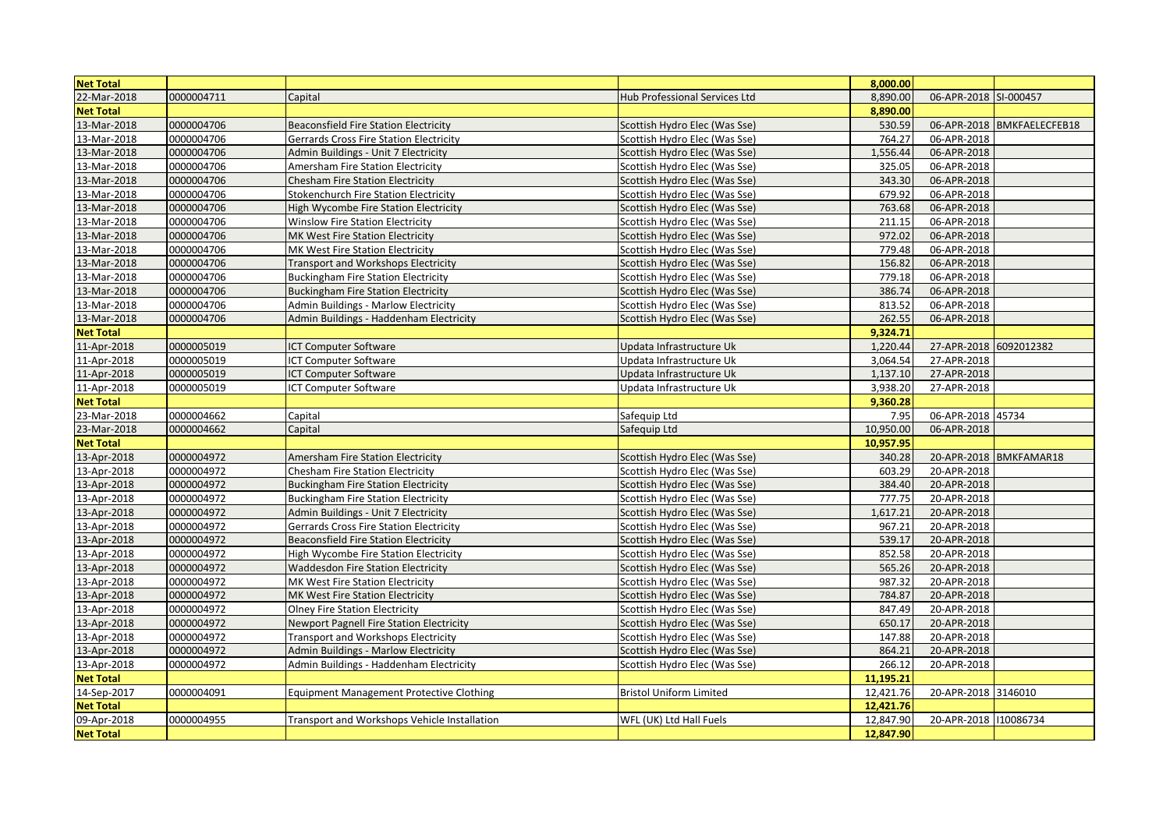| <b>Net Total</b> |            |                                                |                                       | 8,000.00  |                        |                            |
|------------------|------------|------------------------------------------------|---------------------------------------|-----------|------------------------|----------------------------|
| 22-Mar-2018      | 0000004711 | Capital                                        | Hub Professional Services Ltd         | 8,890.00  | 06-APR-2018 SI-000457  |                            |
| <b>Net Total</b> |            |                                                |                                       | 8,890.00  |                        |                            |
| 13-Mar-2018      | 0000004706 | Beaconsfield Fire Station Electricity          | Scottish Hydro Elec (Was Sse)         | 530.59    |                        | 06-APR-2018 BMKFAELECFEB18 |
| 13-Mar-2018      | 0000004706 | <b>Gerrards Cross Fire Station Electricity</b> | Scottish Hydro Elec (Was Sse)         | 764.27    | 06-APR-2018            |                            |
| 13-Mar-2018      | 0000004706 | Admin Buildings - Unit 7 Electricity           | Scottish Hydro Elec (Was Sse)         | 1,556.44  | 06-APR-2018            |                            |
| 13-Mar-2018      | 0000004706 | Amersham Fire Station Electricity              | Scottish Hydro Elec (Was Sse)         | 325.05    | 06-APR-2018            |                            |
| 13-Mar-2018      | 0000004706 | <b>Chesham Fire Station Electricity</b>        | Scottish Hydro Elec (Was Sse)         | 343.30    | 06-APR-2018            |                            |
| 13-Mar-2018      | 0000004706 | <b>Stokenchurch Fire Station Electricity</b>   | Scottish Hydro Elec (Was Sse)         | 679.92    | 06-APR-2018            |                            |
| 13-Mar-2018      | 0000004706 | High Wycombe Fire Station Electricity          | Scottish Hydro Elec (Was Sse)         | 763.68    | 06-APR-2018            |                            |
| 13-Mar-2018      | 0000004706 | Winslow Fire Station Electricity               | Scottish Hydro Elec (Was Sse)         | 211.15    | 06-APR-2018            |                            |
| 13-Mar-2018      | 0000004706 | <b>MK West Fire Station Electricity</b>        | Scottish Hydro Elec (Was Sse)         | 972.02    | 06-APR-2018            |                            |
| 13-Mar-2018      | 0000004706 | <b>MK West Fire Station Electricity</b>        | Scottish Hydro Elec (Was Sse)         | 779.48    | 06-APR-2018            |                            |
| 13-Mar-2018      | 0000004706 | <b>Transport and Workshops Electricity</b>     | Scottish Hydro Elec (Was Sse)         | 156.82    | 06-APR-2018            |                            |
| 13-Mar-2018      | 0000004706 | Buckingham Fire Station Electricity            | Scottish Hydro Elec (Was Sse)         | 779.18    | 06-APR-2018            |                            |
| 13-Mar-2018      | 0000004706 | <b>Buckingham Fire Station Electricity</b>     | Scottish Hydro Elec (Was Sse)         | 386.74    | 06-APR-2018            |                            |
| 13-Mar-2018      | 0000004706 | Admin Buildings - Marlow Electricity           | Scottish Hydro Elec (Was Sse)         | 813.52    | 06-APR-2018            |                            |
| 13-Mar-2018      | 0000004706 | Admin Buildings - Haddenham Electricity        | Scottish Hydro Elec (Was Sse)         | 262.55    | 06-APR-2018            |                            |
| <b>Net Total</b> |            |                                                |                                       | 9,324.71  |                        |                            |
| 11-Apr-2018      | 0000005019 | <b>ICT Computer Software</b>                   | Updata Infrastructure Uk              | 1.220.44  | 27-APR-2018 6092012382 |                            |
| 11-Apr-2018      | 0000005019 | ICT Computer Software                          | Updata Infrastructure Uk              | 3,064.54  | 27-APR-2018            |                            |
| 11-Apr-2018      | 0000005019 | <b>ICT Computer Software</b>                   | Updata Infrastructure Uk              | 1.137.10  | 27-APR-2018            |                            |
| 11-Apr-2018      | 0000005019 | <b>ICT Computer Software</b>                   | Updata Infrastructure Uk              | 3,938.20  | 27-APR-2018            |                            |
| <b>Net Total</b> |            |                                                |                                       | 9,360.28  |                        |                            |
| 23-Mar-2018      | 0000004662 | Capital                                        | Safequip Ltd                          | 7.95      | 06-APR-2018 45734      |                            |
| 23-Mar-2018      | 0000004662 | Capital                                        | Safequip Ltd                          | 10,950.00 | 06-APR-2018            |                            |
| <b>Net Total</b> |            |                                                |                                       | 10,957.95 |                        |                            |
| 13-Apr-2018      | 0000004972 | Amersham Fire Station Electricity              | Scottish Hydro Elec (Was Sse)         | 340.28    |                        | 20-APR-2018 BMKFAMAR18     |
| 13-Apr-2018      | 0000004972 | <b>Chesham Fire Station Electricity</b>        | Scott <u>ish Hydro Elec (Was Sse)</u> | 603.29    | 20-APR-2018            |                            |
| 13-Apr-2018      | 0000004972 | <b>Buckingham Fire Station Electricity</b>     | Scottish Hydro Elec (Was Sse)         | 384.40    | 20-APR-2018            |                            |
| 13-Apr-2018      | 0000004972 | <b>Buckingham Fire Station Electricity</b>     | Scottish Hydro Elec (Was Sse)         | 777.75    | 20-APR-2018            |                            |
| 13-Apr-2018      | 0000004972 | Admin Buildings - Unit 7 Electricity           | Scottish Hydro Elec (Was Sse)         | 1,617.21  | 20-APR-2018            |                            |
| 13-Apr-2018      | 0000004972 | Gerrards Cross Fire Station Electricity        | Scottish Hydro Elec (Was Sse)         | 967.21    | 20-APR-2018            |                            |
| 13-Apr-2018      | 0000004972 | Beaconsfield Fire Station Electricity          | Scottish Hydro Elec (Was Sse)         | 539.17    | 20-APR-2018            |                            |
| 13-Apr-2018      | 0000004972 | High Wycombe Fire Station Electricity          | Scottish Hydro Elec (Was Sse)         | 852.58    | 20-APR-2018            |                            |
| 13-Apr-2018      | 0000004972 | <b>Waddesdon Fire Station Electricity</b>      | Scottish Hydro Elec (Was Sse)         | 565.26    | 20-APR-2018            |                            |
| 13-Apr-2018      | 0000004972 | MK West Fire Station Electricity               | Scottish Hydro Elec (Was Sse)         | 987.32    | 20-APR-2018            |                            |
| 13-Apr-2018      | 0000004972 | MK West Fire Station Electricity               | Scottish Hydro Elec (Was Sse)         | 784.87    | 20-APR-2018            |                            |
| 13-Apr-2018      | 0000004972 | <b>Olney Fire Station Electricity</b>          | Scottish Hydro Elec (Was Sse)         | 847.49    | 20-APR-2018            |                            |
| 13-Apr-2018      | 0000004972 | Newport Pagnell Fire Station Electricity       | Scottish Hydro Elec (Was Sse)         | 650.17    | 20-APR-2018            |                            |
| 13-Apr-2018      | 0000004972 | <b>Transport and Workshops Electricity</b>     | Scottish Hydro Elec (Was Sse)         | 147.88    | 20-APR-2018            |                            |
| 13-Apr-2018      | 0000004972 | Admin Buildings - Marlow Electricity           | Scottish Hydro Elec (Was Sse)         | 864.21    | 20-APR-2018            |                            |
| 13-Apr-2018      | 0000004972 | Admin Buildings - Haddenham Electricity        | Scottish Hydro Elec (Was Sse)         | 266.12    | 20-APR-2018            |                            |
| <b>Net Total</b> |            |                                                |                                       | 11,195.21 |                        |                            |
| 14-Sep-2017      | 0000004091 | Equipment Management Protective Clothing       | <b>Bristol Uniform Limited</b>        | 12,421.76 | 20-APR-2018 3146010    |                            |
| <b>Net Total</b> |            |                                                |                                       | 12,421.76 |                        |                            |
| 09-Apr-2018      | 0000004955 | Transport and Workshops Vehicle Installation   | WFL (UK) Ltd Hall Fuels               | 12,847.90 | 20-APR-2018 110086734  |                            |
| <b>Net Total</b> |            |                                                |                                       | 12,847.90 |                        |                            |